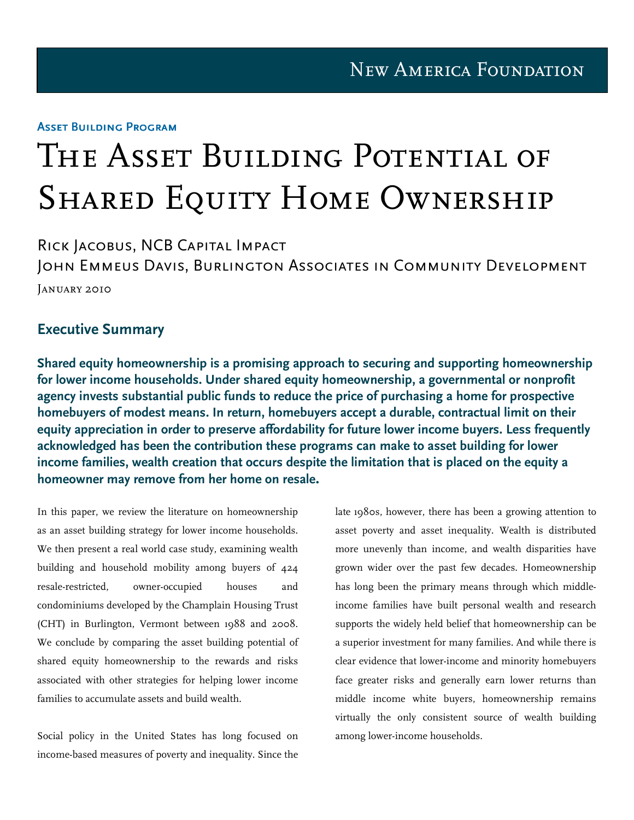#### Asset Building Program

# The Asset Building Potential of SHARED EQUITY HOME OWNERSHIP

Rick Jacobus, NCB Capital Impact John Emmeus Davis, Burlington Associates in Community Development January 2010

#### Executive Summary

Shared equity homeownership is a promising approach to securing and supporting homeownership for lower income households. Under shared equity homeownership, a governmental or nonprofit agency invests substantial public funds to reduce the price of purchasing a home for prospective homebuyers of modest means. In return, homebuyers accept a durable, contractual limit on their equity appreciation in order to preserve affordability for future lower income buyers. Less frequently acknowledged has been the contribution these programs can make to asset building for lower income families, wealth creation that occurs despite the limitation that is placed on the equity a homeowner may remove from her home on resale.

In this paper, we review the literature on homeownership as an asset building strategy for lower income households. We then present a real world case study, examining wealth building and household mobility among buyers of 424 resale-restricted, owner-occupied houses and condominiums developed by the Champlain Housing Trust (CHT) in Burlington, Vermont between 1988 and 2008. We conclude by comparing the asset building potential of shared equity homeownership to the rewards and risks associated with other strategies for helping lower income families to accumulate assets and build wealth.

Social policy in the United States has long focused on income-based measures of poverty and inequality. Since the late 1980s, however, there has been a growing attention to asset poverty and asset inequality. Wealth is distributed more unevenly than income, and wealth disparities have grown wider over the past few decades. Homeownership has long been the primary means through which middleincome families have built personal wealth and research supports the widely held belief that homeownership can be a superior investment for many families. And while there is clear evidence that lower-income and minority homebuyers face greater risks and generally earn lower returns than middle income white buyers, homeownership remains virtually the only consistent source of wealth building among lower-income households.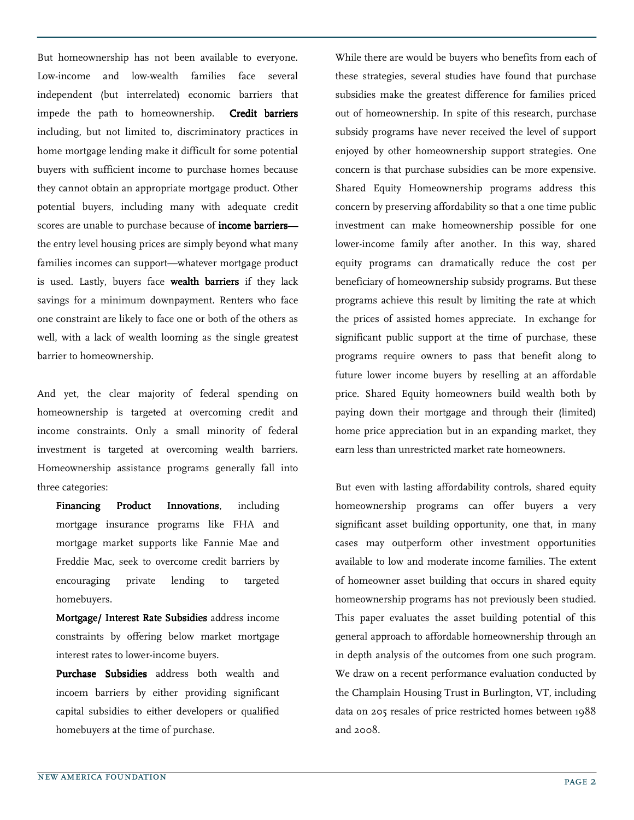But homeownership has not been available to everyone. Low-income and low-wealth families face several independent (but interrelated) economic barriers that impede the path to homeownership. Credit barriers including, but not limited to, discriminatory practices in home mortgage lending make it difficult for some potential buyers with sufficient income to purchase homes because they cannot obtain an appropriate mortgage product. Other potential buyers, including many with adequate credit scores are unable to purchase because of **income barriers** the entry level housing prices are simply beyond what many families incomes can support—whatever mortgage product is used. Lastly, buyers face wealth barriers if they lack savings for a minimum downpayment. Renters who face one constraint are likely to face one or both of the others as well, with a lack of wealth looming as the single greatest barrier to homeownership.

And yet, the clear majority of federal spending on homeownership is targeted at overcoming credit and income constraints. Only a small minority of federal investment is targeted at overcoming wealth barriers. Homeownership assistance programs generally fall into three categories:

Financing Product Innovations, including mortgage insurance programs like FHA and mortgage market supports like Fannie Mae and Freddie Mac, seek to overcome credit barriers by encouraging private lending to targeted homebuyers.

Mortgage/ Interest Rate Subsidies address income constraints by offering below market mortgage interest rates to lower-income buyers.

Purchase Subsidies address both wealth and incoem barriers by either providing significant capital subsidies to either developers or qualified homebuyers at the time of purchase.

While there are would be buyers who benefits from each of these strategies, several studies have found that purchase subsidies make the greatest difference for families priced out of homeownership. In spite of this research, purchase subsidy programs have never received the level of support enjoyed by other homeownership support strategies. One concern is that purchase subsidies can be more expensive. Shared Equity Homeownership programs address this concern by preserving affordability so that a one time public investment can make homeownership possible for one lower-income family after another. In this way, shared equity programs can dramatically reduce the cost per beneficiary of homeownership subsidy programs. But these programs achieve this result by limiting the rate at which the prices of assisted homes appreciate. In exchange for significant public support at the time of purchase, these programs require owners to pass that benefit along to future lower income buyers by reselling at an affordable price. Shared Equity homeowners build wealth both by paying down their mortgage and through their (limited) home price appreciation but in an expanding market, they earn less than unrestricted market rate homeowners.

But even with lasting affordability controls, shared equity homeownership programs can offer buyers a very significant asset building opportunity, one that, in many cases may outperform other investment opportunities available to low and moderate income families. The extent of homeowner asset building that occurs in shared equity homeownership programs has not previously been studied. This paper evaluates the asset building potential of this general approach to affordable homeownership through an in depth analysis of the outcomes from one such program. We draw on a recent performance evaluation conducted by the Champlain Housing Trust in Burlington, VT, including data on 205 resales of price restricted homes between 1988 and 2008.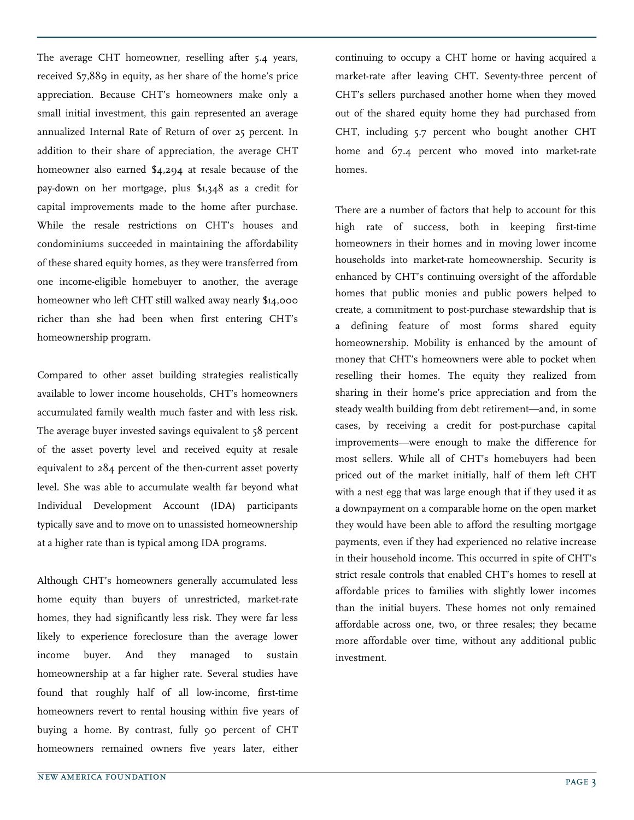The average CHT homeowner, reselling after 5.4 years, received \$7,889 in equity, as her share of the home's price appreciation. Because CHT's homeowners make only a small initial investment, this gain represented an average annualized Internal Rate of Return of over 25 percent. In addition to their share of appreciation, the average CHT homeowner also earned \$4,294 at resale because of the pay-down on her mortgage, plus \$1,348 as a credit for capital improvements made to the home after purchase. While the resale restrictions on CHT's houses and condominiums succeeded in maintaining the affordability of these shared equity homes, as they were transferred from one income-eligible homebuyer to another, the average homeowner who left CHT still walked away nearly \$14,000 richer than she had been when first entering CHT's homeownership program.

Compared to other asset building strategies realistically available to lower income households, CHT's homeowners accumulated family wealth much faster and with less risk. The average buyer invested savings equivalent to 58 percent of the asset poverty level and received equity at resale equivalent to 284 percent of the then-current asset poverty level. She was able to accumulate wealth far beyond what Individual Development Account (IDA) participants typically save and to move on to unassisted homeownership at a higher rate than is typical among IDA programs.

Although CHT's homeowners generally accumulated less home equity than buyers of unrestricted, market-rate homes, they had significantly less risk. They were far less likely to experience foreclosure than the average lower income buyer. And they managed to sustain homeownership at a far higher rate. Several studies have found that roughly half of all low-income, first-time homeowners revert to rental housing within five years of buying a home. By contrast, fully 90 percent of CHT homeowners remained owners five years later, either

continuing to occupy a CHT home or having acquired a market-rate after leaving CHT. Seventy-three percent of CHT's sellers purchased another home when they moved out of the shared equity home they had purchased from CHT, including 5.7 percent who bought another CHT home and 67.4 percent who moved into market-rate homes.

There are a number of factors that help to account for this high rate of success, both in keeping first-time homeowners in their homes and in moving lower income households into market-rate homeownership. Security is enhanced by CHT's continuing oversight of the affordable homes that public monies and public powers helped to create, a commitment to post-purchase stewardship that is a defining feature of most forms shared equity homeownership. Mobility is enhanced by the amount of money that CHT's homeowners were able to pocket when reselling their homes. The equity they realized from sharing in their home's price appreciation and from the steady wealth building from debt retirement—and, in some cases, by receiving a credit for post-purchase capital improvements—were enough to make the difference for most sellers. While all of CHT's homebuyers had been priced out of the market initially, half of them left CHT with a nest egg that was large enough that if they used it as a downpayment on a comparable home on the open market they would have been able to afford the resulting mortgage payments, even if they had experienced no relative increase in their household income. This occurred in spite of CHT's strict resale controls that enabled CHT's homes to resell at affordable prices to families with slightly lower incomes than the initial buyers. These homes not only remained affordable across one, two, or three resales; they became more affordable over time, without any additional public investment.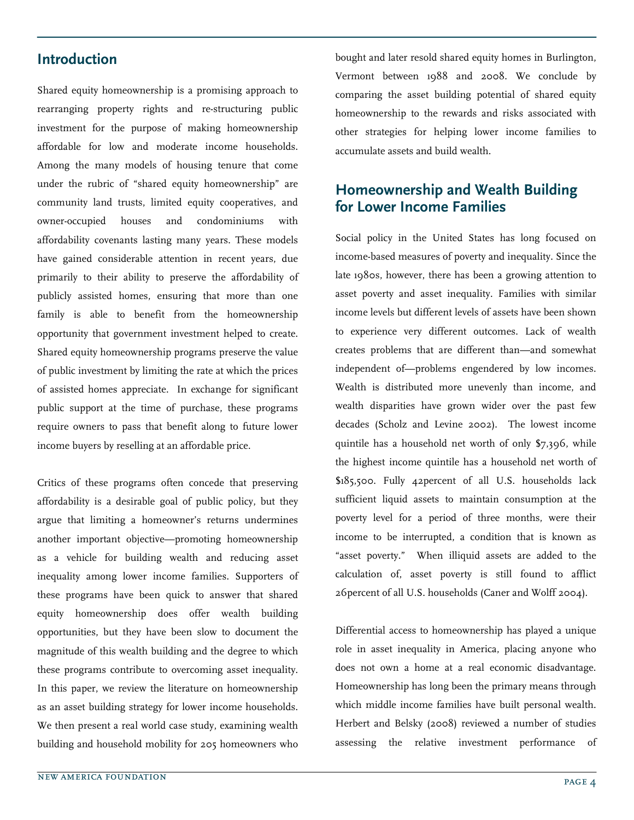## Introduction

Shared equity homeownership is a promising approach to rearranging property rights and re-structuring public investment for the purpose of making homeownership affordable for low and moderate income households. Among the many models of housing tenure that come under the rubric of "shared equity homeownership" are community land trusts, limited equity cooperatives, and owner-occupied houses and condominiums with affordability covenants lasting many years. These models have gained considerable attention in recent years, due primarily to their ability to preserve the affordability of publicly assisted homes, ensuring that more than one family is able to benefit from the homeownership opportunity that government investment helped to create. Shared equity homeownership programs preserve the value of public investment by limiting the rate at which the prices of assisted homes appreciate. In exchange for significant public support at the time of purchase, these programs require owners to pass that benefit along to future lower income buyers by reselling at an affordable price.

Critics of these programs often concede that preserving affordability is a desirable goal of public policy, but they argue that limiting a homeowner's returns undermines another important objective—promoting homeownership as a vehicle for building wealth and reducing asset inequality among lower income families. Supporters of these programs have been quick to answer that shared equity homeownership does offer wealth building opportunities, but they have been slow to document the magnitude of this wealth building and the degree to which these programs contribute to overcoming asset inequality. In this paper, we review the literature on homeownership as an asset building strategy for lower income households. We then present a real world case study, examining wealth building and household mobility for 205 homeowners who

bought and later resold shared equity homes in Burlington, Vermont between 1988 and 2008. We conclude by comparing the asset building potential of shared equity homeownership to the rewards and risks associated with other strategies for helping lower income families to accumulate assets and build wealth.

## Homeownership and Wealth Building for Lower Income Families

Social policy in the United States has long focused on income-based measures of poverty and inequality. Since the late 1980s, however, there has been a growing attention to asset poverty and asset inequality. Families with similar income levels but different levels of assets have been shown to experience very different outcomes. Lack of wealth creates problems that are different than—and somewhat independent of—problems engendered by low incomes. Wealth is distributed more unevenly than income, and wealth disparities have grown wider over the past few decades (Scholz and Levine 2002). The lowest income quintile has a household net worth of only \$7,396, while the highest income quintile has a household net worth of \$185,500. Fully 42percent of all U.S. households lack sufficient liquid assets to maintain consumption at the poverty level for a period of three months, were their income to be interrupted, a condition that is known as "asset poverty." When illiquid assets are added to the calculation of, asset poverty is still found to afflict 26percent of all U.S. households (Caner and Wolff 2004).

Differential access to homeownership has played a unique role in asset inequality in America, placing anyone who does not own a home at a real economic disadvantage. Homeownership has long been the primary means through which middle income families have built personal wealth. Herbert and Belsky (2008) reviewed a number of studies assessing the relative investment performance of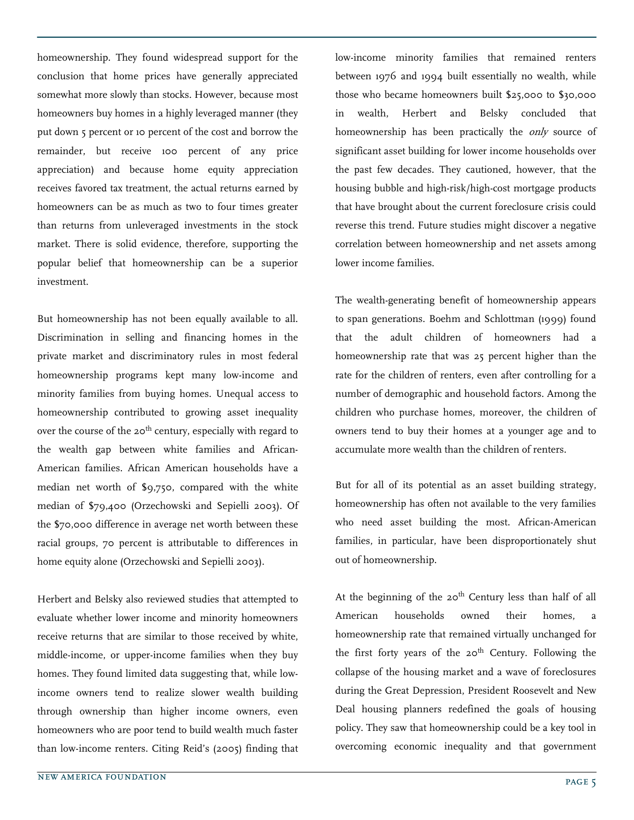homeownership. They found widespread support for the conclusion that home prices have generally appreciated somewhat more slowly than stocks. However, because most homeowners buy homes in a highly leveraged manner (they put down 5 percent or 10 percent of the cost and borrow the remainder, but receive 100 percent of any price appreciation) and because home equity appreciation receives favored tax treatment, the actual returns earned by homeowners can be as much as two to four times greater than returns from unleveraged investments in the stock market. There is solid evidence, therefore, supporting the popular belief that homeownership can be a superior investment.

But homeownership has not been equally available to all. Discrimination in selling and financing homes in the private market and discriminatory rules in most federal homeownership programs kept many low-income and minority families from buying homes. Unequal access to homeownership contributed to growing asset inequality over the course of the  $20^{th}$  century, especially with regard to the wealth gap between white families and African-American families. African American households have a median net worth of \$9,750, compared with the white median of \$79,400 (Orzechowski and Sepielli 2003). Of the \$70,000 difference in average net worth between these racial groups, 70 percent is attributable to differences in home equity alone (Orzechowski and Sepielli 2003).

Herbert and Belsky also reviewed studies that attempted to evaluate whether lower income and minority homeowners receive returns that are similar to those received by white, middle-income, or upper-income families when they buy homes. They found limited data suggesting that, while lowincome owners tend to realize slower wealth building through ownership than higher income owners, even homeowners who are poor tend to build wealth much faster than low-income renters. Citing Reid's (2005) finding that low-income minority families that remained renters between 1976 and 1994 built essentially no wealth, while those who became homeowners built \$25,000 to \$30,000 in wealth, Herbert and Belsky concluded that homeownership has been practically the *only* source of significant asset building for lower income households over the past few decades. They cautioned, however, that the housing bubble and high-risk/high-cost mortgage products that have brought about the current foreclosure crisis could reverse this trend. Future studies might discover a negative correlation between homeownership and net assets among lower income families.

The wealth-generating benefit of homeownership appears to span generations. Boehm and Schlottman (1999) found that the adult children of homeowners had a homeownership rate that was 25 percent higher than the rate for the children of renters, even after controlling for a number of demographic and household factors. Among the children who purchase homes, moreover, the children of owners tend to buy their homes at a younger age and to accumulate more wealth than the children of renters.

But for all of its potential as an asset building strategy, homeownership has often not available to the very families who need asset building the most. African-American families, in particular, have been disproportionately shut out of homeownership.

At the beginning of the  $20<sup>th</sup>$  Century less than half of all American households owned their homes, a homeownership rate that remained virtually unchanged for the first forty years of the  $20<sup>th</sup>$  Century. Following the collapse of the housing market and a wave of foreclosures during the Great Depression, President Roosevelt and New Deal housing planners redefined the goals of housing policy. They saw that homeownership could be a key tool in overcoming economic inequality and that government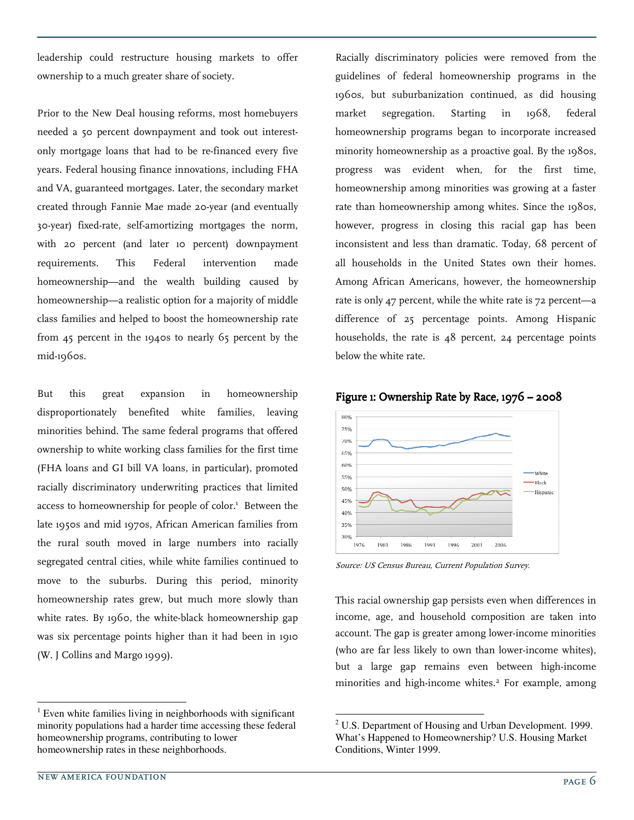leadership could restructure housing markets to offer ownership to a much greater share of society.

Prior to the New Deal housing reforms, most homebuyers needed a 50 percent downpayment and took out interestonly mortgage loans that had to be re-financed every five years. Federal housing finance innovations, including FHA and VA, guaranteed mortgages. Later, the secondary market created through Fannie Mae made 20-year (and eventually 30-year) fixed-rate, self-amortizing mortgages the norm, with 20 percent (and later 10 percent) downpayment requirements. This Federal intervention made homeownership—and the wealth building caused by homeownership—a realistic option for a majority of middle class families and helped to boost the homeownership rate from 45 percent in the 1940s to nearly 65 percent by the mid-1960s.

But this great expansion in homeownership disproportionately benefited white families, leaving minorities behind. The same federal programs that offered ownership to white working class families for the first time (FHA loans and GI bill VA loans, in particular), promoted racially discriminatory underwriting practices that limited access to homeownership for people of color.<sup>1</sup> Between the late 1950s and mid 1970s, African American families from the rural south moved in large numbers into racially segregated central cities, while white families continued to move to the suburbs. During this period, minority homeownership rates grew, but much more slowly than white rates. By 1960, the white-black homeownership gap was six percentage points higher than it had been in 1910 (W. J Collins and Margo 1999).

<sup>1</sup> Even white families living in neighborhoods with significant minority populations had a harder time accessing these federal homeownership programs, contributing to lower homeownership rates in these neighborhoods.

Racially discriminatory policies were removed from the guidelines of federal homeownership programs in the 1960s, but suburbanization continued, as did housing market segregation. Starting in 1968, federal homeownership programs began to incorporate increased minority homeownership as a proactive goal. By the 1980s, progress was evident when, for the first time, homeownership among minorities was growing at a faster rate than homeownership among whites. Since the 1980s, however, progress in closing this racial gap has been inconsistent and less than dramatic. Today, 68 percent of all households in the United States own their homes. Among African Americans, however, the homeownership rate is only 47 percent, while the white rate is 72 percent—a difference of 25 percentage points. Among Hispanic households, the rate is 48 percent, 24 percentage points below the white rate.





Source: US Census Bureau, Current Population Survey.

 $\overline{a}$ 

This racial ownership gap persists even when differences in income, age, and household composition are taken into account. The gap is greater among lower-income minorities (who are far less likely to own than lower-income whites), but a large gap remains even between high-income minorities and high-income whites.<sup>2</sup> For example, among

 $2$  U.S. Department of Housing and Urban Development. 1999. What's Happened to Homeownership? U.S. Housing Market Conditions, Winter 1999.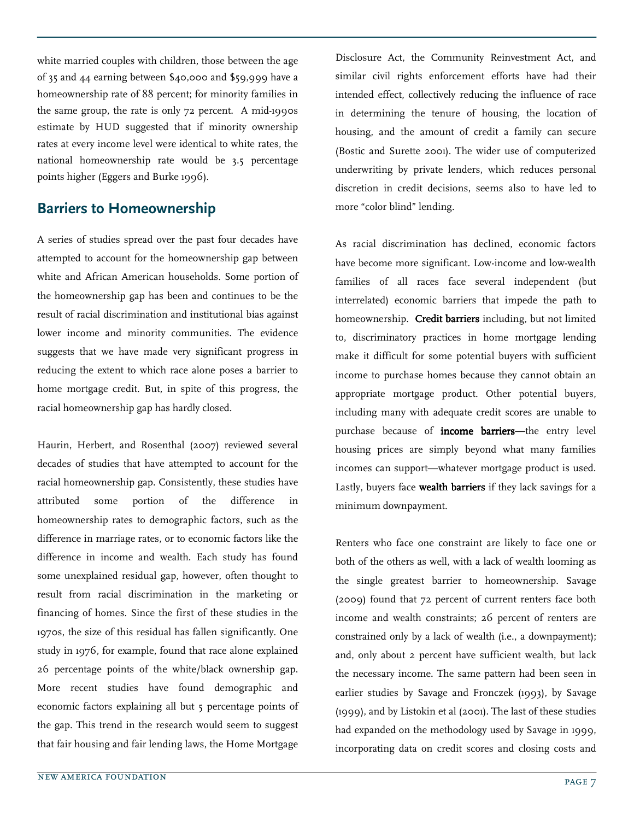white married couples with children, those between the age of 35 and 44 earning between \$40,000 and \$59,999 have a homeownership rate of 88 percent; for minority families in the same group, the rate is only 72 percent. A mid-1990s estimate by HUD suggested that if minority ownership rates at every income level were identical to white rates, the national homeownership rate would be 3.5 percentage points higher (Eggers and Burke 1996).

#### Barriers to Homeownership

A series of studies spread over the past four decades have attempted to account for the homeownership gap between white and African American households. Some portion of the homeownership gap has been and continues to be the result of racial discrimination and institutional bias against lower income and minority communities. The evidence suggests that we have made very significant progress in reducing the extent to which race alone poses a barrier to home mortgage credit. But, in spite of this progress, the racial homeownership gap has hardly closed.

Haurin, Herbert, and Rosenthal (2007) reviewed several decades of studies that have attempted to account for the racial homeownership gap. Consistently, these studies have attributed some portion of the difference in homeownership rates to demographic factors, such as the difference in marriage rates, or to economic factors like the difference in income and wealth. Each study has found some unexplained residual gap, however, often thought to result from racial discrimination in the marketing or financing of homes. Since the first of these studies in the 1970s, the size of this residual has fallen significantly. One study in 1976, for example, found that race alone explained 26 percentage points of the white/black ownership gap. More recent studies have found demographic and economic factors explaining all but 5 percentage points of the gap. This trend in the research would seem to suggest that fair housing and fair lending laws, the Home Mortgage

Disclosure Act, the Community Reinvestment Act, and similar civil rights enforcement efforts have had their intended effect, collectively reducing the influence of race in determining the tenure of housing, the location of housing, and the amount of credit a family can secure (Bostic and Surette 2001). The wider use of computerized underwriting by private lenders, which reduces personal discretion in credit decisions, seems also to have led to more "color blind" lending.

As racial discrimination has declined, economic factors have become more significant. Low-income and low-wealth families of all races face several independent (but interrelated) economic barriers that impede the path to homeownership. Credit barriers including, but not limited to, discriminatory practices in home mortgage lending make it difficult for some potential buyers with sufficient income to purchase homes because they cannot obtain an appropriate mortgage product. Other potential buyers, including many with adequate credit scores are unable to purchase because of **income barriers**—the entry level housing prices are simply beyond what many families incomes can support—whatever mortgage product is used. Lastly, buyers face wealth barriers if they lack savings for a minimum downpayment.

Renters who face one constraint are likely to face one or both of the others as well, with a lack of wealth looming as the single greatest barrier to homeownership. Savage (2009) found that 72 percent of current renters face both income and wealth constraints; 26 percent of renters are constrained only by a lack of wealth (i.e., a downpayment); and, only about 2 percent have sufficient wealth, but lack the necessary income. The same pattern had been seen in earlier studies by Savage and Fronczek (1993), by Savage (1999), and by Listokin et al (2001). The last of these studies had expanded on the methodology used by Savage in 1999, incorporating data on credit scores and closing costs and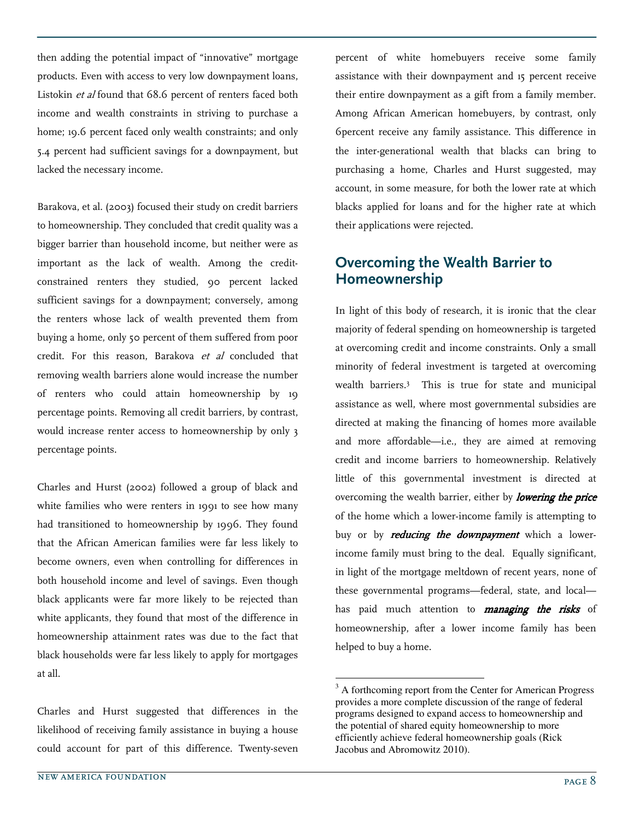then adding the potential impact of "innovative" mortgage products. Even with access to very low downpayment loans, Listokin et al found that 68.6 percent of renters faced both income and wealth constraints in striving to purchase a home; 19.6 percent faced only wealth constraints; and only 5.4 percent had sufficient savings for a downpayment, but lacked the necessary income.

Barakova, et al. (2003) focused their study on credit barriers to homeownership. They concluded that credit quality was a bigger barrier than household income, but neither were as important as the lack of wealth. Among the creditconstrained renters they studied, 90 percent lacked sufficient savings for a downpayment; conversely, among the renters whose lack of wealth prevented them from buying a home, only 50 percent of them suffered from poor credit. For this reason, Barakova et al concluded that removing wealth barriers alone would increase the number of renters who could attain homeownership by 19 percentage points. Removing all credit barriers, by contrast, would increase renter access to homeownership by only 3 percentage points.

Charles and Hurst (2002) followed a group of black and white families who were renters in 1991 to see how many had transitioned to homeownership by 1996. They found that the African American families were far less likely to become owners, even when controlling for differences in both household income and level of savings. Even though black applicants were far more likely to be rejected than white applicants, they found that most of the difference in homeownership attainment rates was due to the fact that black households were far less likely to apply for mortgages at all.

Charles and Hurst suggested that differences in the likelihood of receiving family assistance in buying a house could account for part of this difference. Twenty-seven percent of white homebuyers receive some family assistance with their downpayment and 15 percent receive their entire downpayment as a gift from a family member. Among African American homebuyers, by contrast, only 6percent receive any family assistance. This difference in the inter-generational wealth that blacks can bring to purchasing a home, Charles and Hurst suggested, may account, in some measure, for both the lower rate at which blacks applied for loans and for the higher rate at which their applications were rejected.

## Overcoming the Wealth Barrier to Homeownership

In light of this body of research, it is ironic that the clear majority of federal spending on homeownership is targeted at overcoming credit and income constraints. Only a small minority of federal investment is targeted at overcoming wealth barriers.<sup>3</sup> This is true for state and municipal assistance as well, where most governmental subsidies are directed at making the financing of homes more available and more affordable—i.e., they are aimed at removing credit and income barriers to homeownership. Relatively little of this governmental investment is directed at overcoming the wealth barrier, either by *lowering the price* of the home which a lower-income family is attempting to buy or by reducing the downpayment which a lowerincome family must bring to the deal. Equally significant, in light of the mortgage meltdown of recent years, none of these governmental programs—federal, state, and local has paid much attention to *managing the risks* of homeownership, after a lower income family has been helped to buy a home.

 $3<sup>3</sup>$  A forthcoming report from the Center for American Progress provides a more complete discussion of the range of federal programs designed to expand access to homeownership and the potential of shared equity homeownership to more efficiently achieve federal homeownership goals (Rick Jacobus and Abromowitz 2010).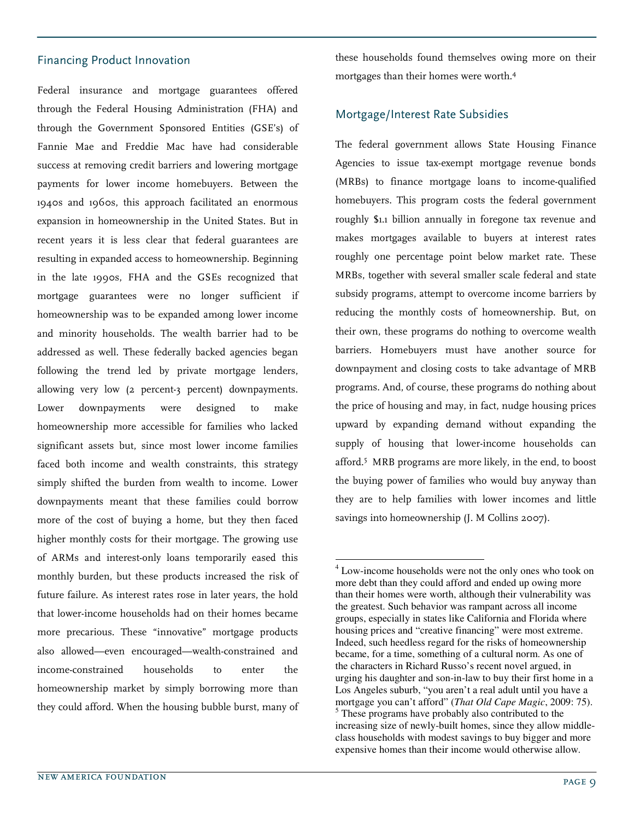#### Financing Product Innovation

Federal insurance and mortgage guarantees offered through the Federal Housing Administration (FHA) and through the Government Sponsored Entities (GSE's) of Fannie Mae and Freddie Mac have had considerable success at removing credit barriers and lowering mortgage payments for lower income homebuyers. Between the 1940s and 1960s, this approach facilitated an enormous expansion in homeownership in the United States. But in recent years it is less clear that federal guarantees are resulting in expanded access to homeownership. Beginning in the late 1990s, FHA and the GSEs recognized that mortgage guarantees were no longer sufficient if homeownership was to be expanded among lower income and minority households. The wealth barrier had to be addressed as well. These federally backed agencies began following the trend led by private mortgage lenders, allowing very low (2 percent-3 percent) downpayments. Lower downpayments were designed to make homeownership more accessible for families who lacked significant assets but, since most lower income families faced both income and wealth constraints, this strategy simply shifted the burden from wealth to income. Lower downpayments meant that these families could borrow more of the cost of buying a home, but they then faced higher monthly costs for their mortgage. The growing use of ARMs and interest-only loans temporarily eased this monthly burden, but these products increased the risk of future failure. As interest rates rose in later years, the hold that lower-income households had on their homes became more precarious. These "innovative" mortgage products also allowed—even encouraged—wealth-constrained and income-constrained households to enter the homeownership market by simply borrowing more than they could afford. When the housing bubble burst, many of

these households found themselves owing more on their mortgages than their homes were worth.<sup>4</sup>

#### Mortgage/Interest Rate Subsidies

The federal government allows State Housing Finance Agencies to issue tax-exempt mortgage revenue bonds (MRBs) to finance mortgage loans to income-qualified homebuyers. This program costs the federal government roughly \$1.1 billion annually in foregone tax revenue and makes mortgages available to buyers at interest rates roughly one percentage point below market rate. These MRBs, together with several smaller scale federal and state subsidy programs, attempt to overcome income barriers by reducing the monthly costs of homeownership. But, on their own, these programs do nothing to overcome wealth barriers. Homebuyers must have another source for downpayment and closing costs to take advantage of MRB programs. And, of course, these programs do nothing about the price of housing and may, in fact, nudge housing prices upward by expanding demand without expanding the supply of housing that lower-income households can afford.<sup>5</sup> MRB programs are more likely, in the end, to boost the buying power of families who would buy anyway than they are to help families with lower incomes and little savings into homeownership (J. M Collins 2007).

<sup>&</sup>lt;sup>4</sup> Low-income households were not the only ones who took on more debt than they could afford and ended up owing more than their homes were worth, although their vulnerability was the greatest. Such behavior was rampant across all income groups, especially in states like California and Florida where housing prices and "creative financing" were most extreme. Indeed, such heedless regard for the risks of homeownership became, for a time, something of a cultural norm. As one of the characters in Richard Russo's recent novel argued, in urging his daughter and son-in-law to buy their first home in a Los Angeles suburb, "you aren't a real adult until you have a mortgage you can't afford" (*That Old Cape Magic*, 2009: 75). <sup>5</sup> These programs have probably also contributed to the increasing size of newly-built homes, since they allow middleclass households with modest savings to buy bigger and more expensive homes than their income would otherwise allow.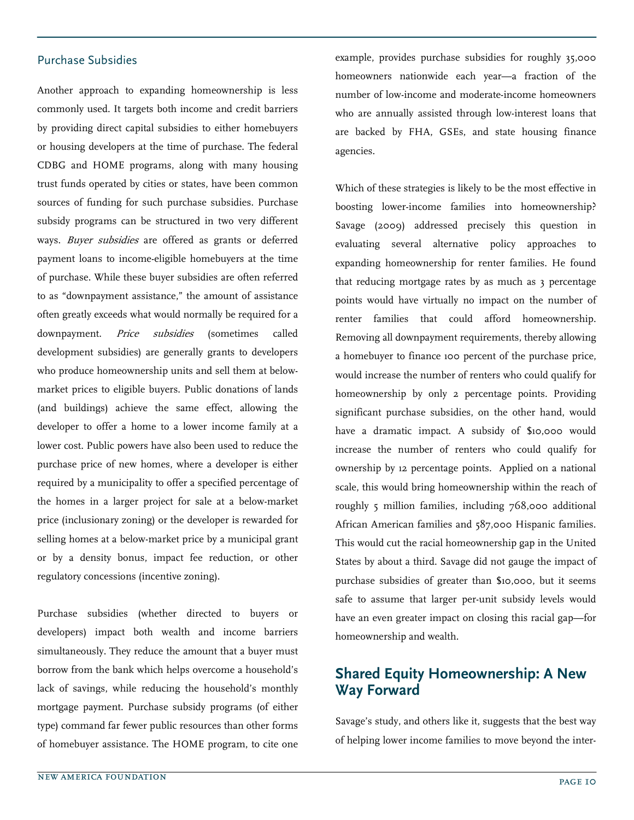#### Purchase Subsidies

Another approach to expanding homeownership is less commonly used. It targets both income and credit barriers by providing direct capital subsidies to either homebuyers or housing developers at the time of purchase. The federal CDBG and HOME programs, along with many housing trust funds operated by cities or states, have been common sources of funding for such purchase subsidies. Purchase subsidy programs can be structured in two very different ways. Buyer subsidies are offered as grants or deferred payment loans to income-eligible homebuyers at the time of purchase. While these buyer subsidies are often referred to as "downpayment assistance," the amount of assistance often greatly exceeds what would normally be required for a downpayment. *Price subsidies* (sometimes called development subsidies) are generally grants to developers who produce homeownership units and sell them at belowmarket prices to eligible buyers. Public donations of lands (and buildings) achieve the same effect, allowing the developer to offer a home to a lower income family at a lower cost. Public powers have also been used to reduce the purchase price of new homes, where a developer is either required by a municipality to offer a specified percentage of the homes in a larger project for sale at a below-market price (inclusionary zoning) or the developer is rewarded for selling homes at a below-market price by a municipal grant or by a density bonus, impact fee reduction, or other regulatory concessions (incentive zoning).

Purchase subsidies (whether directed to buyers or developers) impact both wealth and income barriers simultaneously. They reduce the amount that a buyer must borrow from the bank which helps overcome a household's lack of savings, while reducing the household's monthly mortgage payment. Purchase subsidy programs (of either type) command far fewer public resources than other forms of homebuyer assistance. The HOME program, to cite one example, provides purchase subsidies for roughly 35,000 homeowners nationwide each year—a fraction of the number of low-income and moderate-income homeowners who are annually assisted through low-interest loans that are backed by FHA, GSEs, and state housing finance agencies.

Which of these strategies is likely to be the most effective in boosting lower-income families into homeownership? Savage (2009) addressed precisely this question in evaluating several alternative policy approaches to expanding homeownership for renter families. He found that reducing mortgage rates by as much as 3 percentage points would have virtually no impact on the number of renter families that could afford homeownership. Removing all downpayment requirements, thereby allowing a homebuyer to finance 100 percent of the purchase price, would increase the number of renters who could qualify for homeownership by only 2 percentage points. Providing significant purchase subsidies, on the other hand, would have a dramatic impact. A subsidy of \$10,000 would increase the number of renters who could qualify for ownership by 12 percentage points. Applied on a national scale, this would bring homeownership within the reach of roughly 5 million families, including 768,000 additional African American families and 587,000 Hispanic families. This would cut the racial homeownership gap in the United States by about a third. Savage did not gauge the impact of purchase subsidies of greater than \$10,000, but it seems safe to assume that larger per-unit subsidy levels would have an even greater impact on closing this racial gap—for homeownership and wealth.

## Shared Equity Homeownership: A New Way Forward

Savage's study, and others like it, suggests that the best way of helping lower income families to move beyond the inter-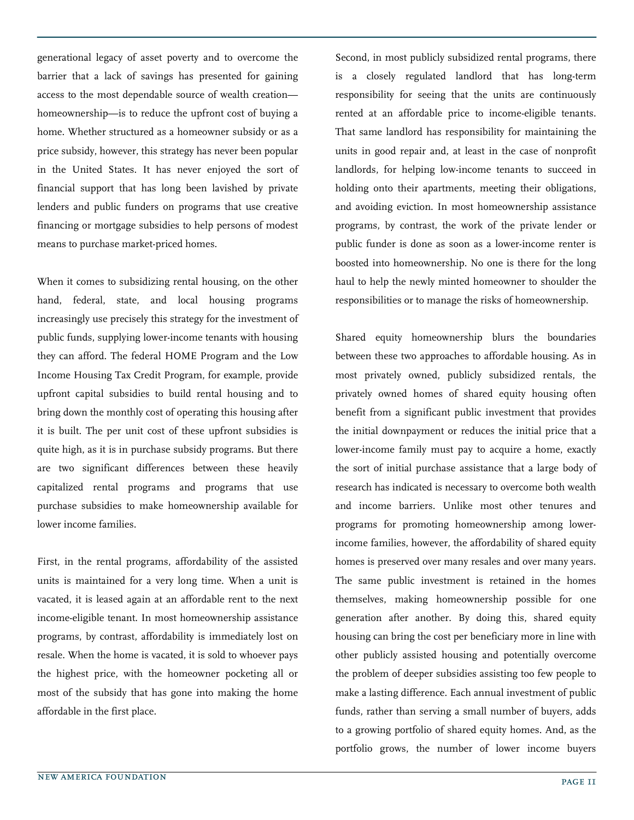generational legacy of asset poverty and to overcome the barrier that a lack of savings has presented for gaining access to the most dependable source of wealth creation homeownership—is to reduce the upfront cost of buying a home. Whether structured as a homeowner subsidy or as a price subsidy, however, this strategy has never been popular in the United States. It has never enjoyed the sort of financial support that has long been lavished by private lenders and public funders on programs that use creative financing or mortgage subsidies to help persons of modest means to purchase market-priced homes.

When it comes to subsidizing rental housing, on the other hand, federal, state, and local housing programs increasingly use precisely this strategy for the investment of public funds, supplying lower-income tenants with housing they can afford. The federal HOME Program and the Low Income Housing Tax Credit Program, for example, provide upfront capital subsidies to build rental housing and to bring down the monthly cost of operating this housing after it is built. The per unit cost of these upfront subsidies is quite high, as it is in purchase subsidy programs. But there are two significant differences between these heavily capitalized rental programs and programs that use purchase subsidies to make homeownership available for lower income families.

First, in the rental programs, affordability of the assisted units is maintained for a very long time. When a unit is vacated, it is leased again at an affordable rent to the next income-eligible tenant. In most homeownership assistance programs, by contrast, affordability is immediately lost on resale. When the home is vacated, it is sold to whoever pays the highest price, with the homeowner pocketing all or most of the subsidy that has gone into making the home affordable in the first place.

Second, in most publicly subsidized rental programs, there is a closely regulated landlord that has long-term responsibility for seeing that the units are continuously rented at an affordable price to income-eligible tenants. That same landlord has responsibility for maintaining the units in good repair and, at least in the case of nonprofit landlords, for helping low-income tenants to succeed in holding onto their apartments, meeting their obligations, and avoiding eviction. In most homeownership assistance programs, by contrast, the work of the private lender or public funder is done as soon as a lower-income renter is boosted into homeownership. No one is there for the long haul to help the newly minted homeowner to shoulder the responsibilities or to manage the risks of homeownership.

Shared equity homeownership blurs the boundaries between these two approaches to affordable housing. As in most privately owned, publicly subsidized rentals, the privately owned homes of shared equity housing often benefit from a significant public investment that provides the initial downpayment or reduces the initial price that a lower-income family must pay to acquire a home, exactly the sort of initial purchase assistance that a large body of research has indicated is necessary to overcome both wealth and income barriers. Unlike most other tenures and programs for promoting homeownership among lowerincome families, however, the affordability of shared equity homes is preserved over many resales and over many years. The same public investment is retained in the homes themselves, making homeownership possible for one generation after another. By doing this, shared equity housing can bring the cost per beneficiary more in line with other publicly assisted housing and potentially overcome the problem of deeper subsidies assisting too few people to make a lasting difference. Each annual investment of public funds, rather than serving a small number of buyers, adds to a growing portfolio of shared equity homes. And, as the portfolio grows, the number of lower income buyers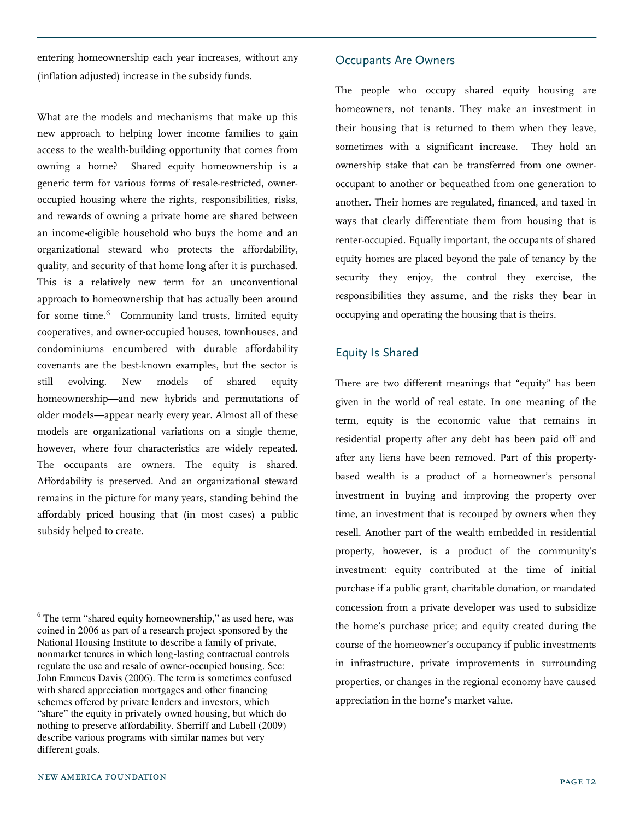entering homeownership each year increases, without any (inflation adjusted) increase in the subsidy funds.

What are the models and mechanisms that make up this new approach to helping lower income families to gain access to the wealth-building opportunity that comes from owning a home? Shared equity homeownership is a generic term for various forms of resale-restricted, owneroccupied housing where the rights, responsibilities, risks, and rewards of owning a private home are shared between an income-eligible household who buys the home and an organizational steward who protects the affordability, quality, and security of that home long after it is purchased. This is a relatively new term for an unconventional approach to homeownership that has actually been around for some time.<sup>6</sup> Community land trusts, limited equity cooperatives, and owner-occupied houses, townhouses, and condominiums encumbered with durable affordability covenants are the best-known examples, but the sector is still evolving. New models of shared equity homeownership—and new hybrids and permutations of older models—appear nearly every year. Almost all of these models are organizational variations on a single theme, however, where four characteristics are widely repeated. The occupants are owners. The equity is shared. Affordability is preserved. And an organizational steward remains in the picture for many years, standing behind the affordably priced housing that (in most cases) a public subsidy helped to create.

#### Occupants Are Owners

The people who occupy shared equity housing are homeowners, not tenants. They make an investment in their housing that is returned to them when they leave, sometimes with a significant increase. They hold an ownership stake that can be transferred from one owneroccupant to another or bequeathed from one generation to another. Their homes are regulated, financed, and taxed in ways that clearly differentiate them from housing that is renter-occupied. Equally important, the occupants of shared equity homes are placed beyond the pale of tenancy by the security they enjoy, the control they exercise, the responsibilities they assume, and the risks they bear in occupying and operating the housing that is theirs.

#### Equity Is Shared

There are two different meanings that "equity" has been given in the world of real estate. In one meaning of the term, equity is the economic value that remains in residential property after any debt has been paid off and after any liens have been removed. Part of this propertybased wealth is a product of a homeowner's personal investment in buying and improving the property over time, an investment that is recouped by owners when they resell. Another part of the wealth embedded in residential property, however, is a product of the community's investment: equity contributed at the time of initial purchase if a public grant, charitable donation, or mandated concession from a private developer was used to subsidize the home's purchase price; and equity created during the course of the homeowner's occupancy if public investments in infrastructure, private improvements in surrounding properties, or changes in the regional economy have caused appreciation in the home's market value.

-

<sup>&</sup>lt;sup>6</sup> The term "shared equity homeownership," as used here, was coined in 2006 as part of a research project sponsored by the National Housing Institute to describe a family of private, nonmarket tenures in which long-lasting contractual controls regulate the use and resale of owner-occupied housing. See: John Emmeus Davis (2006). The term is sometimes confused with shared appreciation mortgages and other financing schemes offered by private lenders and investors, which "share" the equity in privately owned housing, but which do nothing to preserve affordability. Sherriff and Lubell (2009) describe various programs with similar names but very different goals.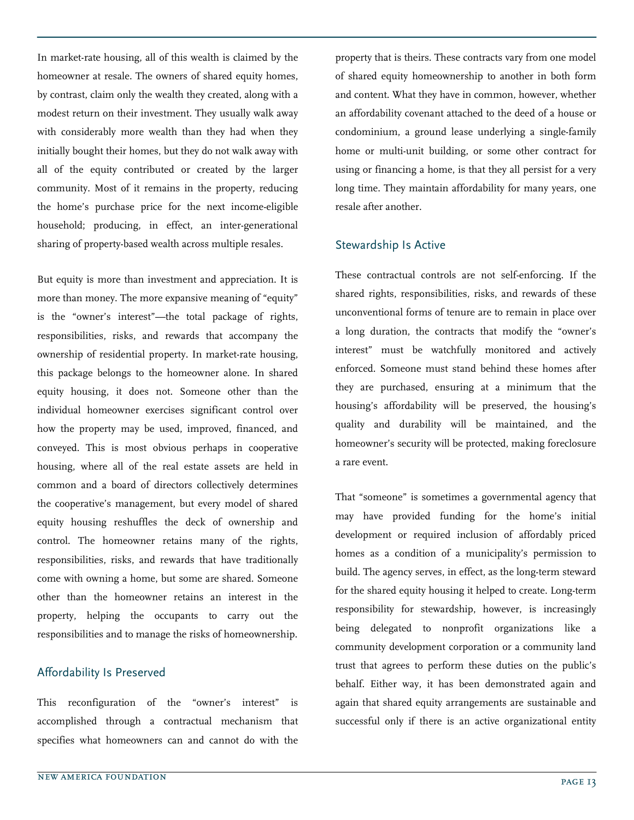In market-rate housing, all of this wealth is claimed by the homeowner at resale. The owners of shared equity homes, by contrast, claim only the wealth they created, along with a modest return on their investment. They usually walk away with considerably more wealth than they had when they initially bought their homes, but they do not walk away with all of the equity contributed or created by the larger community. Most of it remains in the property, reducing the home's purchase price for the next income-eligible household; producing, in effect, an inter-generational sharing of property-based wealth across multiple resales.

But equity is more than investment and appreciation. It is more than money. The more expansive meaning of "equity" is the "owner's interest"—the total package of rights, responsibilities, risks, and rewards that accompany the ownership of residential property. In market-rate housing, this package belongs to the homeowner alone. In shared equity housing, it does not. Someone other than the individual homeowner exercises significant control over how the property may be used, improved, financed, and conveyed. This is most obvious perhaps in cooperative housing, where all of the real estate assets are held in common and a board of directors collectively determines the cooperative's management, but every model of shared equity housing reshuffles the deck of ownership and control. The homeowner retains many of the rights, responsibilities, risks, and rewards that have traditionally come with owning a home, but some are shared. Someone other than the homeowner retains an interest in the property, helping the occupants to carry out the responsibilities and to manage the risks of homeownership.

#### Affordability Is Preserved

This reconfiguration of the "owner's interest" is accomplished through a contractual mechanism that specifies what homeowners can and cannot do with the

property that is theirs. These contracts vary from one model of shared equity homeownership to another in both form and content. What they have in common, however, whether an affordability covenant attached to the deed of a house or condominium, a ground lease underlying a single-family home or multi-unit building, or some other contract for using or financing a home, is that they all persist for a very long time. They maintain affordability for many years, one resale after another.

#### Stewardship Is Active

These contractual controls are not self-enforcing. If the shared rights, responsibilities, risks, and rewards of these unconventional forms of tenure are to remain in place over a long duration, the contracts that modify the "owner's interest" must be watchfully monitored and actively enforced. Someone must stand behind these homes after they are purchased, ensuring at a minimum that the housing's affordability will be preserved, the housing's quality and durability will be maintained, and the homeowner's security will be protected, making foreclosure a rare event.

That "someone" is sometimes a governmental agency that may have provided funding for the home's initial development or required inclusion of affordably priced homes as a condition of a municipality's permission to build. The agency serves, in effect, as the long-term steward for the shared equity housing it helped to create. Long-term responsibility for stewardship, however, is increasingly being delegated to nonprofit organizations like a community development corporation or a community land trust that agrees to perform these duties on the public's behalf. Either way, it has been demonstrated again and again that shared equity arrangements are sustainable and successful only if there is an active organizational entity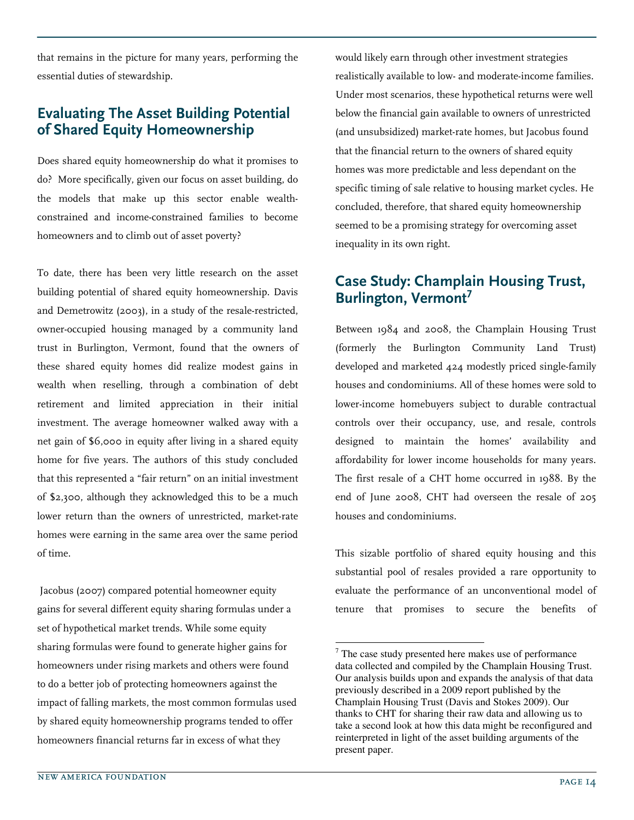that remains in the picture for many years, performing the essential duties of stewardship.

# Evaluating The Asset Building Potential of Shared Equity Homeownership

Does shared equity homeownership do what it promises to do? More specifically, given our focus on asset building, do the models that make up this sector enable wealthconstrained and income-constrained families to become homeowners and to climb out of asset poverty?

To date, there has been very little research on the asset building potential of shared equity homeownership. Davis and Demetrowitz (2003), in a study of the resale-restricted, owner-occupied housing managed by a community land trust in Burlington, Vermont, found that the owners of these shared equity homes did realize modest gains in wealth when reselling, through a combination of debt retirement and limited appreciation in their initial investment. The average homeowner walked away with a net gain of \$6,000 in equity after living in a shared equity home for five years. The authors of this study concluded that this represented a "fair return" on an initial investment of \$2,300, although they acknowledged this to be a much lower return than the owners of unrestricted, market-rate homes were earning in the same area over the same period of time.

 Jacobus (2007) compared potential homeowner equity gains for several different equity sharing formulas under a set of hypothetical market trends. While some equity sharing formulas were found to generate higher gains for homeowners under rising markets and others were found to do a better job of protecting homeowners against the impact of falling markets, the most common formulas used by shared equity homeownership programs tended to offer homeowners financial returns far in excess of what they

would likely earn through other investment strategies realistically available to low- and moderate-income families. Under most scenarios, these hypothetical returns were well below the financial gain available to owners of unrestricted (and unsubsidized) market-rate homes, but Jacobus found that the financial return to the owners of shared equity homes was more predictable and less dependant on the specific timing of sale relative to housing market cycles. He concluded, therefore, that shared equity homeownership seemed to be a promising strategy for overcoming asset inequality in its own right.

## Case Study: Champlain Housing Trust, Burlington, Vermont<sup>7</sup>

Between 1984 and 2008, the Champlain Housing Trust (formerly the Burlington Community Land Trust) developed and marketed 424 modestly priced single-family houses and condominiums. All of these homes were sold to lower-income homebuyers subject to durable contractual controls over their occupancy, use, and resale, controls designed to maintain the homes' availability and affordability for lower income households for many years. The first resale of a CHT home occurred in 1988. By the end of June 2008, CHT had overseen the resale of 205 houses and condominiums.

This sizable portfolio of shared equity housing and this substantial pool of resales provided a rare opportunity to evaluate the performance of an unconventional model of tenure that promises to secure the benefits of

-

 $7$  The case study presented here makes use of performance data collected and compiled by the Champlain Housing Trust. Our analysis builds upon and expands the analysis of that data previously described in a 2009 report published by the Champlain Housing Trust (Davis and Stokes 2009). Our thanks to CHT for sharing their raw data and allowing us to take a second look at how this data might be reconfigured and reinterpreted in light of the asset building arguments of the present paper.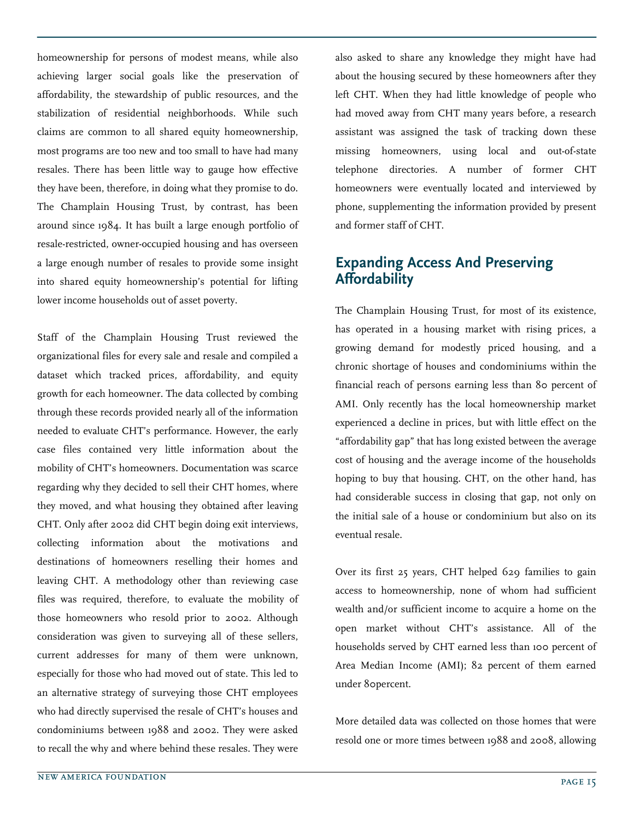homeownership for persons of modest means, while also achieving larger social goals like the preservation of affordability, the stewardship of public resources, and the stabilization of residential neighborhoods. While such claims are common to all shared equity homeownership, most programs are too new and too small to have had many resales. There has been little way to gauge how effective they have been, therefore, in doing what they promise to do. The Champlain Housing Trust, by contrast, has been around since 1984. It has built a large enough portfolio of resale-restricted, owner-occupied housing and has overseen a large enough number of resales to provide some insight into shared equity homeownership's potential for lifting lower income households out of asset poverty.

Staff of the Champlain Housing Trust reviewed the organizational files for every sale and resale and compiled a dataset which tracked prices, affordability, and equity growth for each homeowner. The data collected by combing through these records provided nearly all of the information needed to evaluate CHT's performance. However, the early case files contained very little information about the mobility of CHT's homeowners. Documentation was scarce regarding why they decided to sell their CHT homes, where they moved, and what housing they obtained after leaving CHT. Only after 2002 did CHT begin doing exit interviews, collecting information about the motivations and destinations of homeowners reselling their homes and leaving CHT. A methodology other than reviewing case files was required, therefore, to evaluate the mobility of those homeowners who resold prior to 2002. Although consideration was given to surveying all of these sellers, current addresses for many of them were unknown, especially for those who had moved out of state. This led to an alternative strategy of surveying those CHT employees who had directly supervised the resale of CHT's houses and condominiums between 1988 and 2002. They were asked to recall the why and where behind these resales. They were

also asked to share any knowledge they might have had about the housing secured by these homeowners after they left CHT. When they had little knowledge of people who had moved away from CHT many years before, a research assistant was assigned the task of tracking down these missing homeowners, using local and out-of-state telephone directories. A number of former CHT homeowners were eventually located and interviewed by phone, supplementing the information provided by present and former staff of CHT.

#### Expanding Access And Preserving Affordability

The Champlain Housing Trust, for most of its existence, has operated in a housing market with rising prices, a growing demand for modestly priced housing, and a chronic shortage of houses and condominiums within the financial reach of persons earning less than 80 percent of AMI. Only recently has the local homeownership market experienced a decline in prices, but with little effect on the "affordability gap" that has long existed between the average cost of housing and the average income of the households hoping to buy that housing. CHT, on the other hand, has had considerable success in closing that gap, not only on the initial sale of a house or condominium but also on its eventual resale.

Over its first 25 years, CHT helped 629 families to gain access to homeownership, none of whom had sufficient wealth and/or sufficient income to acquire a home on the open market without CHT's assistance. All of the households served by CHT earned less than 100 percent of Area Median Income (AMI); 82 percent of them earned under 80percent.

More detailed data was collected on those homes that were resold one or more times between 1988 and 2008, allowing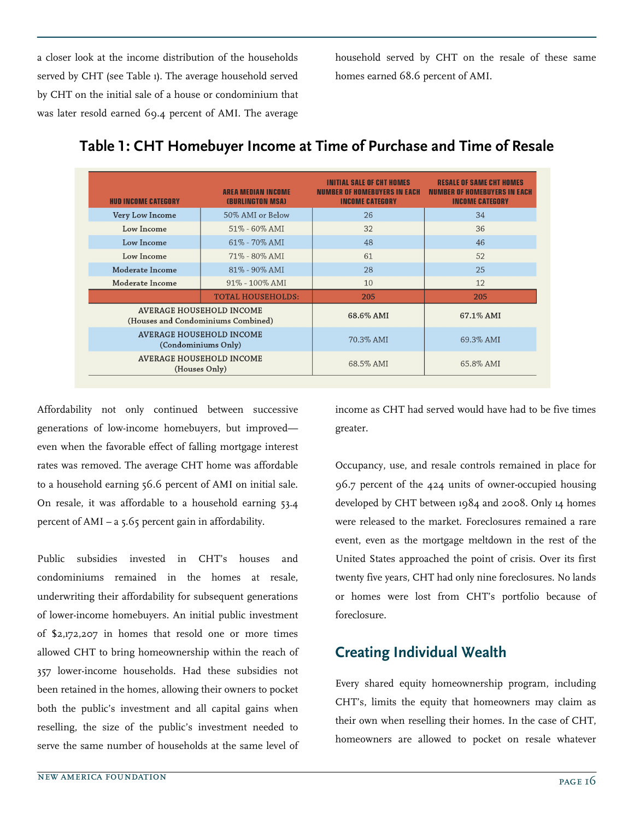a closer look at the income distribution of the households served by CHT (see Table 1). The average household served by CHT on the initial sale of a house or condominium that was later resold earned 69.4 percent of AMI. The average

household served by CHT on the resale of these same homes earned 68.6 percent of AMI.

| <b>HUD INCOME CATEGORY</b>                                            | <b>AREA MEDIAN INCOME</b><br><b>(BURLINGTON MSA)</b> | INITIAL SALE OF CHT HOMES<br><b>NUMBER OF HOMEBUYERS IN EACH</b><br><b>INCOME CATEGORY</b> | <b>RESALE OF SAME CHT HOMES</b><br><b>NUMBER OF HOMEBUYERS IN EACH</b><br><b>INCOME CATEGORY</b> |
|-----------------------------------------------------------------------|------------------------------------------------------|--------------------------------------------------------------------------------------------|--------------------------------------------------------------------------------------------------|
| Very Low Income                                                       | 50% AMI or Below                                     | 26                                                                                         | 34                                                                                               |
| Low Income                                                            | $51\% - 60\%$ AMI                                    | 32                                                                                         | 36                                                                                               |
| Low Income                                                            | 61% - 70% AMI                                        | 48                                                                                         | 46                                                                                               |
| Low Income                                                            | 71% - 80% AMI                                        | 61                                                                                         | 52                                                                                               |
| Moderate Income                                                       | 81% - 90% AMI                                        | 28                                                                                         | 25                                                                                               |
| Moderate Income                                                       | 91% - 100% AMI                                       | 10                                                                                         | 12                                                                                               |
|                                                                       | <b>TOTAL HOUSEHOLDS:</b>                             | 205                                                                                        | 205                                                                                              |
| <b>AVERAGE HOUSEHOLD INCOME</b><br>(Houses and Condominiums Combined) |                                                      | 68.6% AMI                                                                                  | 67.1% AMI                                                                                        |
| <b>AVERAGE HOUSEHOLD INCOME</b><br>(Condominiums Only)                |                                                      | 70.3% AMI                                                                                  | 69.3% AMI                                                                                        |
| <b>AVERAGE HOUSEHOLD INCOME</b><br>(Houses Only)                      |                                                      | 68.5% AMI                                                                                  | 65.8% AMI                                                                                        |

## Table 1: CHT Homebuyer Income at Time of Purchase and Time of Resale

Affordability not only continued between successive generations of low-income homebuyers, but improved even when the favorable effect of falling mortgage interest rates was removed. The average CHT home was affordable to a household earning 56.6 percent of AMI on initial sale. On resale, it was affordable to a household earning 53.4 percent of AMI – a 5.65 percent gain in affordability.

Public subsidies invested in CHT's houses and condominiums remained in the homes at resale, underwriting their affordability for subsequent generations of lower-income homebuyers. An initial public investment of \$2,172,207 in homes that resold one or more times allowed CHT to bring homeownership within the reach of 357 lower-income households. Had these subsidies not been retained in the homes, allowing their owners to pocket both the public's investment and all capital gains when reselling, the size of the public's investment needed to serve the same number of households at the same level of

income as CHT had served would have had to be five times greater.

Occupancy, use, and resale controls remained in place for 96.7 percent of the 424 units of owner-occupied housing developed by CHT between 1984 and 2008. Only 14 homes were released to the market. Foreclosures remained a rare event, even as the mortgage meltdown in the rest of the United States approached the point of crisis. Over its first twenty five years, CHT had only nine foreclosures. No lands or homes were lost from CHT's portfolio because of foreclosure.

# Creating Individual Wealth

Every shared equity homeownership program, including CHT's, limits the equity that homeowners may claim as their own when reselling their homes. In the case of CHT, homeowners are allowed to pocket on resale whatever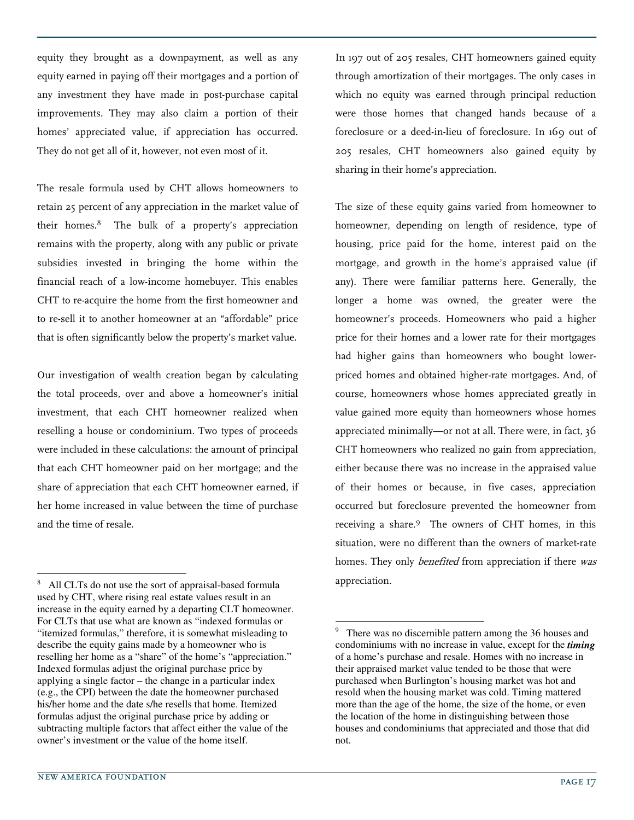equity they brought as a downpayment, as well as any equity earned in paying off their mortgages and a portion of any investment they have made in post-purchase capital improvements. They may also claim a portion of their homes' appreciated value, if appreciation has occurred. They do not get all of it, however, not even most of it.

The resale formula used by CHT allows homeowners to retain 25 percent of any appreciation in the market value of their homes.<sup>8</sup> The bulk of a property's appreciation remains with the property, along with any public or private subsidies invested in bringing the home within the financial reach of a low-income homebuyer. This enables CHT to re-acquire the home from the first homeowner and to re-sell it to another homeowner at an "affordable" price that is often significantly below the property's market value.

Our investigation of wealth creation began by calculating the total proceeds, over and above a homeowner's initial investment, that each CHT homeowner realized when reselling a house or condominium. Two types of proceeds were included in these calculations: the amount of principal that each CHT homeowner paid on her mortgage; and the share of appreciation that each CHT homeowner earned, if her home increased in value between the time of purchase and the time of resale.

In 197 out of 205 resales, CHT homeowners gained equity through amortization of their mortgages. The only cases in which no equity was earned through principal reduction were those homes that changed hands because of a foreclosure or a deed-in-lieu of foreclosure. In 169 out of 205 resales, CHT homeowners also gained equity by sharing in their home's appreciation.

The size of these equity gains varied from homeowner to homeowner, depending on length of residence, type of housing, price paid for the home, interest paid on the mortgage, and growth in the home's appraised value (if any). There were familiar patterns here. Generally, the longer a home was owned, the greater were the homeowner's proceeds. Homeowners who paid a higher price for their homes and a lower rate for their mortgages had higher gains than homeowners who bought lowerpriced homes and obtained higher-rate mortgages. And, of course, homeowners whose homes appreciated greatly in value gained more equity than homeowners whose homes appreciated minimally—or not at all. There were, in fact, 36 CHT homeowners who realized no gain from appreciation, either because there was no increase in the appraised value of their homes or because, in five cases, appreciation occurred but foreclosure prevented the homeowner from receiving a share.<sup>9</sup> The owners of CHT homes, in this situation, were no different than the owners of market-rate homes. They only *benefited* from appreciation if there was appreciation.

-

<sup>8</sup> All CLTs do not use the sort of appraisal-based formula used by CHT, where rising real estate values result in an increase in the equity earned by a departing CLT homeowner. For CLTs that use what are known as "indexed formulas or "itemized formulas," therefore, it is somewhat misleading to describe the equity gains made by a homeowner who is reselling her home as a "share" of the home's "appreciation." Indexed formulas adjust the original purchase price by applying a single factor – the change in a particular index (e.g., the CPI) between the date the homeowner purchased his/her home and the date s/he resells that home. Itemized formulas adjust the original purchase price by adding or subtracting multiple factors that affect either the value of the owner's investment or the value of the home itself.

<sup>9</sup> There was no discernible pattern among the 36 houses and condominiums with no increase in value, except for the *timing*  of a home's purchase and resale. Homes with no increase in their appraised market value tended to be those that were purchased when Burlington's housing market was hot and resold when the housing market was cold. Timing mattered more than the age of the home, the size of the home, or even the location of the home in distinguishing between those houses and condominiums that appreciated and those that did not.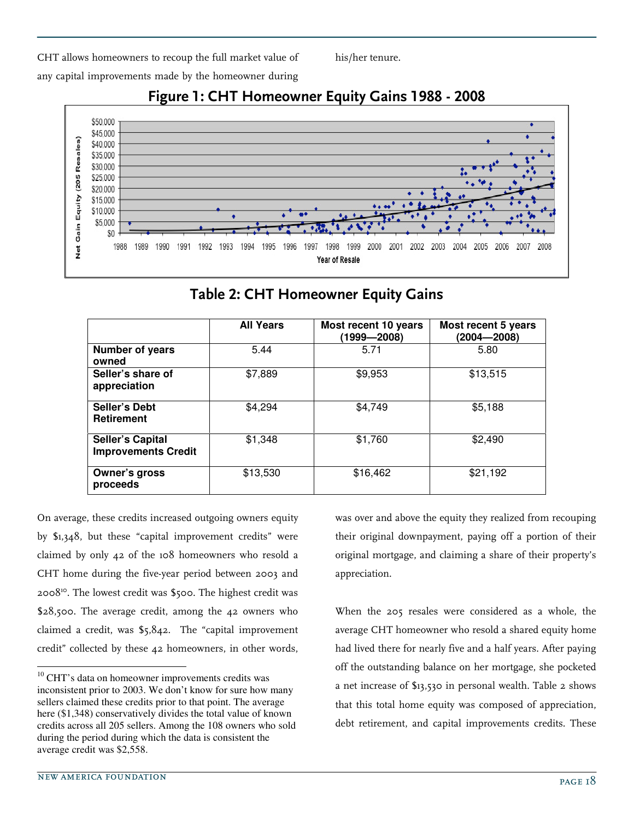CHT allows homeowners to recoup the full market value of any capital improvements made by the homeowner during



# Figure 1: CHT Homeowner Equity Gains 1988 - 2008

his/her tenure.

Table 2: CHT Homeowner Equity Gains

|                                                       | <b>All Years</b> | Most recent 10 years<br>(1999—2008) | Most recent 5 years<br>$(2004 - 2008)$ |
|-------------------------------------------------------|------------------|-------------------------------------|----------------------------------------|
| <b>Number of years</b><br>owned                       | 5.44             | 5.71                                | 5.80                                   |
| Seller's share of<br>appreciation                     | \$7,889          | \$9,953                             | \$13,515                               |
| Seller's Debt<br><b>Retirement</b>                    | \$4,294          | \$4,749                             | \$5,188                                |
| <b>Seller's Capital</b><br><b>Improvements Credit</b> | \$1,348          | \$1,760                             | \$2,490                                |
| <b>Owner's gross</b><br>proceeds                      | \$13,530         | \$16,462                            | \$21,192                               |

On average, these credits increased outgoing owners equity by \$1,348, but these "capital improvement credits" were claimed by only 42 of the 108 homeowners who resold a CHT home during the five-year period between 2003 and 2008<sup>10</sup>. The lowest credit was \$500. The highest credit was \$28,500. The average credit, among the 42 owners who claimed a credit, was \$5,842. The "capital improvement credit" collected by these 42 homeowners, in other words, was over and above the equity they realized from recouping their original downpayment, paying off a portion of their original mortgage, and claiming a share of their property's appreciation.

When the 205 resales were considered as a whole, the average CHT homeowner who resold a shared equity home had lived there for nearly five and a half years. After paying off the outstanding balance on her mortgage, she pocketed a net increase of \$13,530 in personal wealth. Table 2 shows that this total home equity was composed of appreciation, debt retirement, and capital improvements credits. These

 $10$  CHT's data on homeowner improvements credits was inconsistent prior to 2003. We don't know for sure how many sellers claimed these credits prior to that point. The average here (\$1,348) conservatively divides the total value of known credits across all 205 sellers. Among the 108 owners who sold during the period during which the data is consistent the average credit was \$2,558.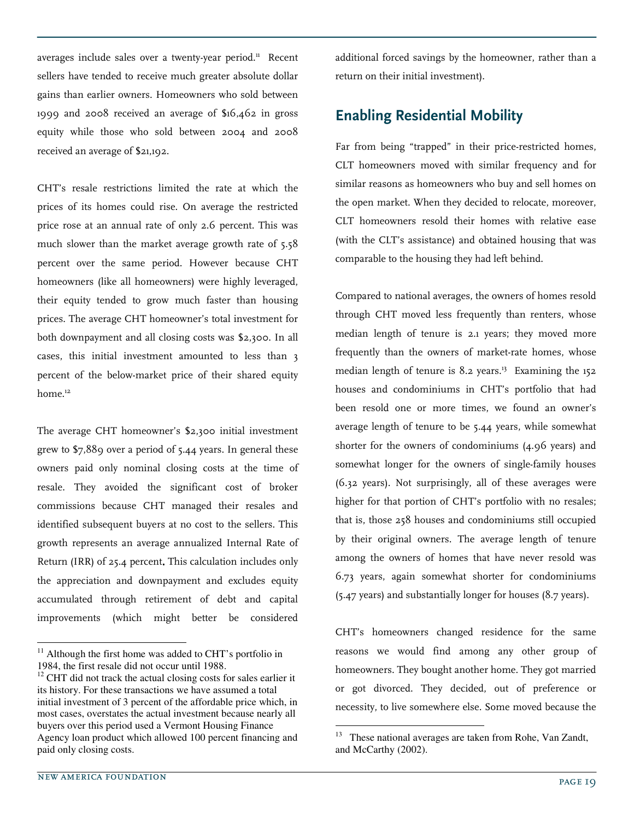averages include sales over a twenty-year period.<sup>11</sup> Recent sellers have tended to receive much greater absolute dollar gains than earlier owners. Homeowners who sold between 1999 and 2008 received an average of \$16,462 in gross equity while those who sold between 2004 and 2008 received an average of \$21,192.

CHT's resale restrictions limited the rate at which the prices of its homes could rise. On average the restricted price rose at an annual rate of only 2.6 percent. This was much slower than the market average growth rate of 5.58 percent over the same period. However because CHT homeowners (like all homeowners) were highly leveraged, their equity tended to grow much faster than housing prices. The average CHT homeowner's total investment for both downpayment and all closing costs was \$2,300. In all cases, this initial investment amounted to less than 3 percent of the below-market price of their shared equity home.<sup>12</sup>

The average CHT homeowner's \$2,300 initial investment grew to \$7,889 over a period of 5.44 years. In general these owners paid only nominal closing costs at the time of resale. They avoided the significant cost of broker commissions because CHT managed their resales and identified subsequent buyers at no cost to the sellers. This growth represents an average annualized Internal Rate of Return (IRR) of 25.4 percent. This calculation includes only the appreciation and downpayment and excludes equity accumulated through retirement of debt and capital improvements (which might better be considered

additional forced savings by the homeowner, rather than a return on their initial investment).

# Enabling Residential Mobility

Far from being "trapped" in their price-restricted homes, CLT homeowners moved with similar frequency and for similar reasons as homeowners who buy and sell homes on the open market. When they decided to relocate, moreover, CLT homeowners resold their homes with relative ease (with the CLT's assistance) and obtained housing that was comparable to the housing they had left behind.

Compared to national averages, the owners of homes resold through CHT moved less frequently than renters, whose median length of tenure is 2.1 years; they moved more frequently than the owners of market-rate homes, whose median length of tenure is  $8.2$  years.<sup>13</sup> Examining the 152 houses and condominiums in CHT's portfolio that had been resold one or more times, we found an owner's average length of tenure to be 5.44 years, while somewhat shorter for the owners of condominiums (4.96 years) and somewhat longer for the owners of single-family houses (6.32 years). Not surprisingly, all of these averages were higher for that portion of CHT's portfolio with no resales; that is, those 258 houses and condominiums still occupied by their original owners. The average length of tenure among the owners of homes that have never resold was 6.73 years, again somewhat shorter for condominiums (5.47 years) and substantially longer for houses (8.7 years).

CHT's homeowners changed residence for the same reasons we would find among any other group of homeowners. They bought another home. They got married or got divorced. They decided, out of preference or necessity, to live somewhere else. Some moved because the

 $\overline{a}$ 

j

 $11$  Although the first home was added to CHT's portfolio in 1984, the first resale did not occur until 1988.

 $12$  CHT did not track the actual closing costs for sales earlier it its history. For these transactions we have assumed a total initial investment of 3 percent of the affordable price which, in most cases, overstates the actual investment because nearly all buyers over this period used a Vermont Housing Finance Agency loan product which allowed 100 percent financing and paid only closing costs.

<sup>&</sup>lt;sup>13</sup> These national averages are taken from Rohe, Van Zandt, and McCarthy (2002).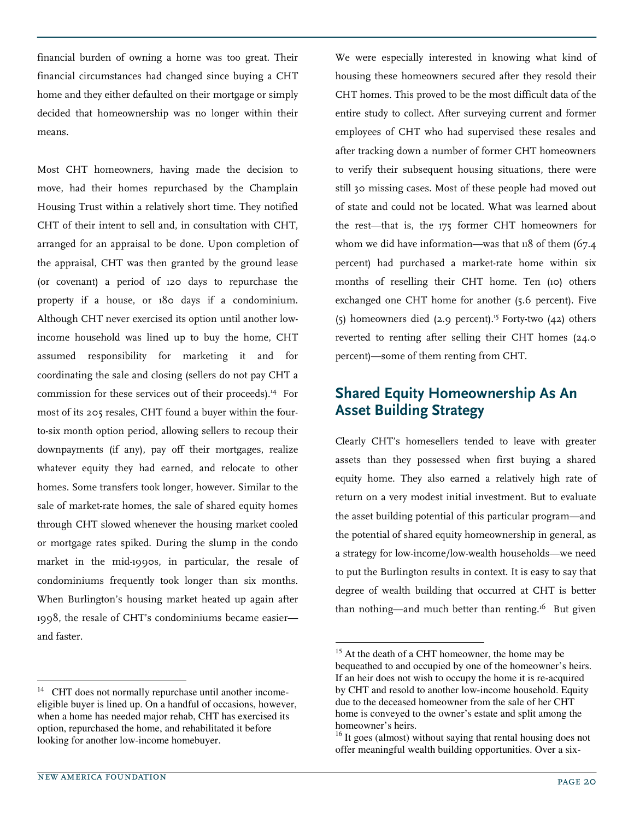financial burden of owning a home was too great. Their financial circumstances had changed since buying a CHT home and they either defaulted on their mortgage or simply decided that homeownership was no longer within their means.

Most CHT homeowners, having made the decision to move, had their homes repurchased by the Champlain Housing Trust within a relatively short time. They notified CHT of their intent to sell and, in consultation with CHT, arranged for an appraisal to be done. Upon completion of the appraisal, CHT was then granted by the ground lease (or covenant) a period of 120 days to repurchase the property if a house, or 180 days if a condominium. Although CHT never exercised its option until another lowincome household was lined up to buy the home, CHT assumed responsibility for marketing it and for coordinating the sale and closing (sellers do not pay CHT a commission for these services out of their proceeds).<sup>14</sup> For most of its 205 resales, CHT found a buyer within the fourto-six month option period, allowing sellers to recoup their downpayments (if any), pay off their mortgages, realize whatever equity they had earned, and relocate to other homes. Some transfers took longer, however. Similar to the sale of market-rate homes, the sale of shared equity homes through CHT slowed whenever the housing market cooled or mortgage rates spiked. During the slump in the condo market in the mid-1990s, in particular, the resale of condominiums frequently took longer than six months. When Burlington's housing market heated up again after 1998, the resale of CHT's condominiums became easier and faster.

We were especially interested in knowing what kind of housing these homeowners secured after they resold their CHT homes. This proved to be the most difficult data of the entire study to collect. After surveying current and former employees of CHT who had supervised these resales and after tracking down a number of former CHT homeowners to verify their subsequent housing situations, there were still 30 missing cases. Most of these people had moved out of state and could not be located. What was learned about the rest—that is, the 175 former CHT homeowners for whom we did have information—was that 118 of them (67.4) percent) had purchased a market-rate home within six months of reselling their CHT home. Ten (10) others exchanged one CHT home for another (5.6 percent). Five (5) homeowners died (2.9 percent).<sup>15</sup> Forty-two (42) others reverted to renting after selling their CHT homes (24.0 percent)—some of them renting from CHT.

## Shared Equity Homeownership As An Asset Building Strategy

Clearly CHT's homesellers tended to leave with greater assets than they possessed when first buying a shared equity home. They also earned a relatively high rate of return on a very modest initial investment. But to evaluate the asset building potential of this particular program—and the potential of shared equity homeownership in general, as a strategy for low-income/low-wealth households—we need to put the Burlington results in context. It is easy to say that degree of wealth building that occurred at CHT is better than nothing—and much better than renting.<sup>16</sup> But given

-

j

<sup>&</sup>lt;sup>14</sup> CHT does not normally repurchase until another incomeeligible buyer is lined up. On a handful of occasions, however, when a home has needed major rehab, CHT has exercised its option, repurchased the home, and rehabilitated it before looking for another low-income homebuyer.

<sup>&</sup>lt;sup>15</sup> At the death of a CHT homeowner, the home may be bequeathed to and occupied by one of the homeowner's heirs. If an heir does not wish to occupy the home it is re-acquired by CHT and resold to another low-income household. Equity due to the deceased homeowner from the sale of her CHT home is conveyed to the owner's estate and split among the homeowner's heirs.

<sup>&</sup>lt;sup>16</sup> It goes (almost) without saying that rental housing does not offer meaningful wealth building opportunities. Over a six-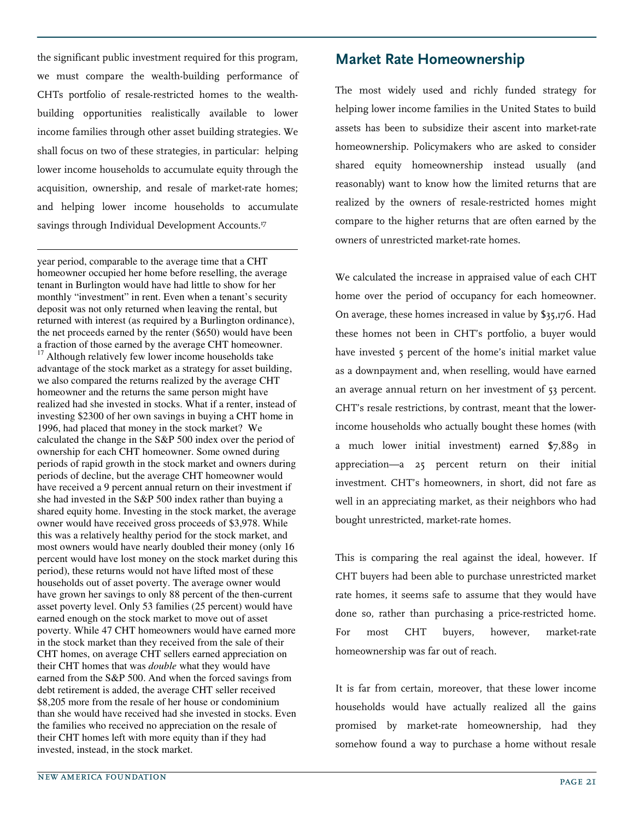the significant public investment required for this program, we must compare the wealth-building performance of CHTs portfolio of resale-restricted homes to the wealthbuilding opportunities realistically available to lower income families through other asset building strategies. We shall focus on two of these strategies, in particular: helping lower income households to accumulate equity through the acquisition, ownership, and resale of market-rate homes; and helping lower income households to accumulate savings through Individual Development Accounts.<sup>17</sup>

-

year period, comparable to the average time that a CHT homeowner occupied her home before reselling, the average tenant in Burlington would have had little to show for her monthly "investment" in rent. Even when a tenant's security deposit was not only returned when leaving the rental, but returned with interest (as required by a Burlington ordinance), the net proceeds earned by the renter (\$650) would have been a fraction of those earned by the average CHT homeowner. <sup>17</sup> Although relatively few lower income households take advantage of the stock market as a strategy for asset building, we also compared the returns realized by the average CHT homeowner and the returns the same person might have realized had she invested in stocks. What if a renter, instead of investing \$2300 of her own savings in buying a CHT home in 1996, had placed that money in the stock market? We calculated the change in the S&P 500 index over the period of ownership for each CHT homeowner. Some owned during periods of rapid growth in the stock market and owners during periods of decline, but the average CHT homeowner would have received a 9 percent annual return on their investment if she had invested in the S&P 500 index rather than buying a shared equity home. Investing in the stock market, the average owner would have received gross proceeds of \$3,978. While this was a relatively healthy period for the stock market, and most owners would have nearly doubled their money (only 16 percent would have lost money on the stock market during this period), these returns would not have lifted most of these households out of asset poverty. The average owner would have grown her savings to only 88 percent of the then-current asset poverty level. Only 53 families (25 percent) would have earned enough on the stock market to move out of asset poverty. While 47 CHT homeowners would have earned more in the stock market than they received from the sale of their CHT homes, on average CHT sellers earned appreciation on their CHT homes that was *double* what they would have earned from the S&P 500. And when the forced savings from debt retirement is added, the average CHT seller received \$8,205 more from the resale of her house or condominium than she would have received had she invested in stocks. Even the families who received no appreciation on the resale of their CHT homes left with more equity than if they had invested, instead, in the stock market.

The most widely used and richly funded strategy for helping lower income families in the United States to build assets has been to subsidize their ascent into market-rate homeownership. Policymakers who are asked to consider shared equity homeownership instead usually (and reasonably) want to know how the limited returns that are realized by the owners of resale-restricted homes might compare to the higher returns that are often earned by the owners of unrestricted market-rate homes.

We calculated the increase in appraised value of each CHT home over the period of occupancy for each homeowner. On average, these homes increased in value by \$35,176. Had these homes not been in CHT's portfolio, a buyer would have invested 5 percent of the home's initial market value as a downpayment and, when reselling, would have earned an average annual return on her investment of 53 percent. CHT's resale restrictions, by contrast, meant that the lowerincome households who actually bought these homes (with a much lower initial investment) earned \$7,889 in appreciation—a 25 percent return on their initial investment. CHT's homeowners, in short, did not fare as well in an appreciating market, as their neighbors who had bought unrestricted, market-rate homes.

This is comparing the real against the ideal, however. If CHT buyers had been able to purchase unrestricted market rate homes, it seems safe to assume that they would have done so, rather than purchasing a price-restricted home. For most CHT buyers, however, market-rate homeownership was far out of reach.

It is far from certain, moreover, that these lower income households would have actually realized all the gains promised by market-rate homeownership, had they somehow found a way to purchase a home without resale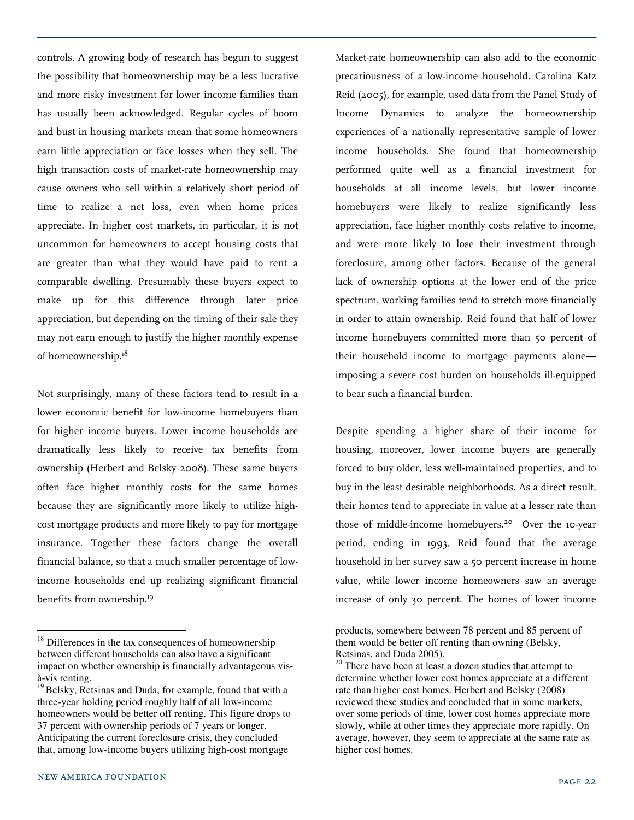controls. A growing body of research has begun to suggest the possibility that homeownership may be a less lucrative and more risky investment for lower income families than has usually been acknowledged. Regular cycles of boom and bust in housing markets mean that some homeowners earn little appreciation or face losses when they sell. The high transaction costs of market-rate homeownership may cause owners who sell within a relatively short period of time to realize a net loss, even when home prices appreciate. In higher cost markets, in particular, it is not uncommon for homeowners to accept housing costs that are greater than what they would have paid to rent a comparable dwelling. Presumably these buyers expect to make up for this difference through later price appreciation, but depending on the timing of their sale they may not earn enough to justify the higher monthly expense of homeownership.<sup>18</sup>

Not surprisingly, many of these factors tend to result in a lower economic benefit for low-income homebuyers than for higher income buyers. Lower income households are dramatically less likely to receive tax benefits from ownership (Herbert and Belsky 2008). These same buyers often face higher monthly costs for the same homes because they are significantly more likely to utilize highcost mortgage products and more likely to pay for mortgage insurance. Together these factors change the overall financial balance, so that a much smaller percentage of lowincome households end up realizing significant financial benefits from ownership.<sup>19</sup>

new AMERICA FOUNDATION PAGE 22

 $\overline{a}$ 

Market-rate homeownership can also add to the economic precariousness of a low-income household. Carolina Katz Reid (2005), for example, used data from the Panel Study of Income Dynamics to analyze the homeownership experiences of a nationally representative sample of lower income households. She found that homeownership performed quite well as a financial investment for households at all income levels, but lower income homebuyers were likely to realize significantly less appreciation, face higher monthly costs relative to income, and were more likely to lose their investment through foreclosure, among other factors. Because of the general lack of ownership options at the lower end of the price spectrum, working families tend to stretch more financially in order to attain ownership. Reid found that half of lower income homebuyers committed more than 50 percent of their household income to mortgage payments alone imposing a severe cost burden on households ill-equipped to bear such a financial burden.

Despite spending a higher share of their income for housing, moreover, lower income buyers are generally forced to buy older, less well-maintained properties, and to buy in the least desirable neighborhoods. As a direct result, their homes tend to appreciate in value at a lesser rate than those of middle-income homebuyers.<sup>20</sup> Over the 10-year period, ending in 1993, Reid found that the average household in her survey saw a 50 percent increase in home value, while lower income homeowners saw an average increase of only 30 percent. The homes of lower income

 $18$  Differences in the tax consequences of homeownership between different households can also have a significant impact on whether ownership is financially advantageous visà-vis renting.

<sup>&</sup>lt;sup>19</sup> Belsky, Retsinas and Duda, for example, found that with a three-year holding period roughly half of all low-income homeowners would be better off renting. This figure drops to 37 percent with ownership periods of 7 years or longer. Anticipating the current foreclosure crisis, they concluded that, among low-income buyers utilizing high-cost mortgage

products, somewhere between 78 percent and 85 percent of them would be better off renting than owning (Belsky, Retsinas, and Duda 2005).

 $20$  There have been at least a dozen studies that attempt to determine whether lower cost homes appreciate at a different rate than higher cost homes. Herbert and Belsky (2008) reviewed these studies and concluded that in some markets, over some periods of time, lower cost homes appreciate more slowly, while at other times they appreciate more rapidly. On average, however, they seem to appreciate at the same rate as higher cost homes.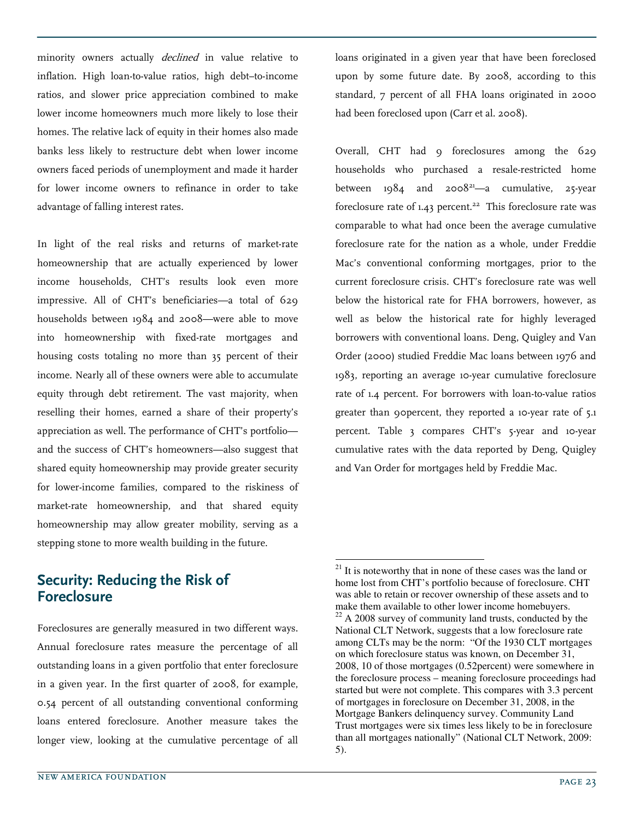minority owners actually *declined* in value relative to inflation. High loan-to-value ratios, high debt–to-income ratios, and slower price appreciation combined to make lower income homeowners much more likely to lose their homes. The relative lack of equity in their homes also made banks less likely to restructure debt when lower income owners faced periods of unemployment and made it harder for lower income owners to refinance in order to take advantage of falling interest rates.

In light of the real risks and returns of market-rate homeownership that are actually experienced by lower income households, CHT's results look even more impressive. All of CHT's beneficiaries—a total of 629 households between 1984 and 2008—were able to move into homeownership with fixed-rate mortgages and housing costs totaling no more than 35 percent of their income. Nearly all of these owners were able to accumulate equity through debt retirement. The vast majority, when reselling their homes, earned a share of their property's appreciation as well. The performance of CHT's portfolio and the success of CHT's homeowners—also suggest that shared equity homeownership may provide greater security for lower-income families, compared to the riskiness of market-rate homeownership, and that shared equity homeownership may allow greater mobility, serving as a stepping stone to more wealth building in the future.

#### Security: Reducing the Risk of Foreclosure

Foreclosures are generally measured in two different ways. Annual foreclosure rates measure the percentage of all outstanding loans in a given portfolio that enter foreclosure in a given year. In the first quarter of 2008, for example, 0.54 percent of all outstanding conventional conforming loans entered foreclosure. Another measure takes the longer view, looking at the cumulative percentage of all loans originated in a given year that have been foreclosed upon by some future date. By 2008, according to this standard, 7 percent of all FHA loans originated in 2000 had been foreclosed upon (Carr et al. 2008).

Overall, CHT had 9 foreclosures among the 629 households who purchased a resale-restricted home between  $1984$  and  $2008^{21}$ —a cumulative, 25-year foreclosure rate of  $1.43$  percent.<sup>22</sup> This foreclosure rate was comparable to what had once been the average cumulative foreclosure rate for the nation as a whole, under Freddie Mac's conventional conforming mortgages, prior to the current foreclosure crisis. CHT's foreclosure rate was well below the historical rate for FHA borrowers, however, as well as below the historical rate for highly leveraged borrowers with conventional loans. Deng, Quigley and Van Order (2000) studied Freddie Mac loans between 1976 and 1983, reporting an average 10-year cumulative foreclosure rate of 1.4 percent. For borrowers with loan-to-value ratios greater than 90percent, they reported a 10-year rate of 5.1 percent. Table 3 compares CHT's 5-year and 10-year cumulative rates with the data reported by Deng, Quigley and Van Order for mortgages held by Freddie Mac.

-

 $21$  It is noteworthy that in none of these cases was the land or home lost from CHT's portfolio because of foreclosure. CHT was able to retain or recover ownership of these assets and to make them available to other lower income homebuyers.  $22$  A 2008 survey of community land trusts, conducted by the National CLT Network, suggests that a low foreclosure rate among CLTs may be the norm: "Of the 1930 CLT mortgages on which foreclosure status was known, on December 31, 2008, 10 of those mortgages (0.52percent) were somewhere in the foreclosure process – meaning foreclosure proceedings had started but were not complete. This compares with 3.3 percent of mortgages in foreclosure on December 31, 2008, in the Mortgage Bankers delinquency survey. Community Land Trust mortgages were six times less likely to be in foreclosure than all mortgages nationally" (National CLT Network, 2009: 5).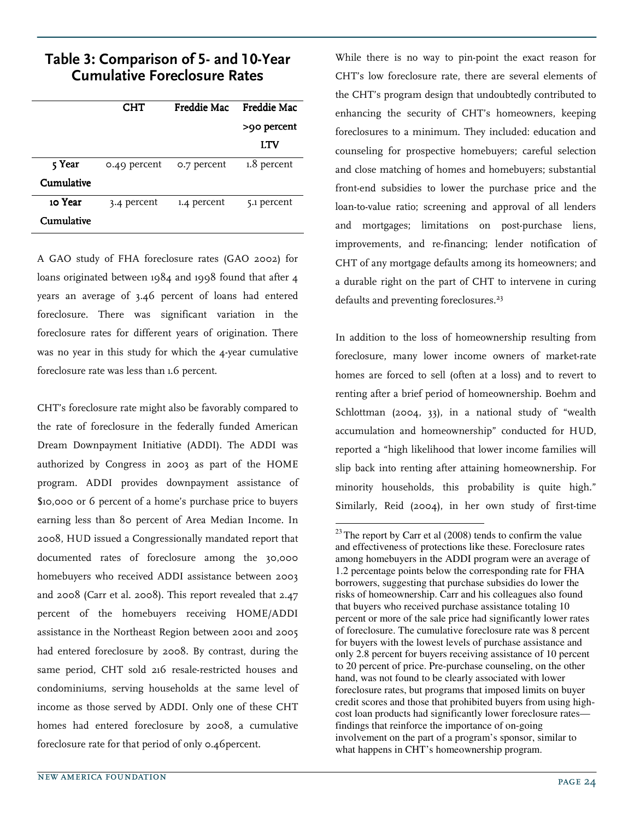## Table 3: Comparison of 5- and 10-Year Cumulative Foreclosure Rates

|            | <b>CHT</b>   | Freddie Mac | <b>Freddie Mac</b> |
|------------|--------------|-------------|--------------------|
|            |              |             | >90 percent        |
|            |              |             | LTV                |
| 5 Year     | 0.49 percent | 0.7 percent | 1.8 percent        |
| Cumulative |              |             |                    |
| 10 Year    | 3.4 percent  | 1.4 percent | 5.1 percent        |
| Cumulative |              |             |                    |

A GAO study of FHA foreclosure rates (GAO 2002) for loans originated between 1984 and 1998 found that after 4 years an average of 3.46 percent of loans had entered foreclosure. There was significant variation in the foreclosure rates for different years of origination. There was no year in this study for which the 4-year cumulative foreclosure rate was less than 1.6 percent.

CHT's foreclosure rate might also be favorably compared to the rate of foreclosure in the federally funded American Dream Downpayment Initiative (ADDI). The ADDI was authorized by Congress in 2003 as part of the HOME program. ADDI provides downpayment assistance of \$10,000 or 6 percent of a home's purchase price to buyers earning less than 80 percent of Area Median Income. In 2008, HUD issued a Congressionally mandated report that documented rates of foreclosure among the 30,000 homebuyers who received ADDI assistance between 2003 and 2008 (Carr et al. 2008). This report revealed that 2.47 percent of the homebuyers receiving HOME/ADDI assistance in the Northeast Region between 2001 and 2005 had entered foreclosure by 2008. By contrast, during the same period, CHT sold 216 resale-restricted houses and condominiums, serving households at the same level of income as those served by ADDI. Only one of these CHT homes had entered foreclosure by 2008, a cumulative foreclosure rate for that period of only 0.46percent.

While there is no way to pin-point the exact reason for CHT's low foreclosure rate, there are several elements of the CHT's program design that undoubtedly contributed to enhancing the security of CHT's homeowners, keeping foreclosures to a minimum. They included: education and counseling for prospective homebuyers; careful selection and close matching of homes and homebuyers; substantial front-end subsidies to lower the purchase price and the loan-to-value ratio; screening and approval of all lenders and mortgages; limitations on post-purchase liens, improvements, and re-financing; lender notification of CHT of any mortgage defaults among its homeowners; and a durable right on the part of CHT to intervene in curing defaults and preventing foreclosures.<sup>23</sup>

In addition to the loss of homeownership resulting from foreclosure, many lower income owners of market-rate homes are forced to sell (often at a loss) and to revert to renting after a brief period of homeownership. Boehm and Schlottman (2004, 33), in a national study of "wealth accumulation and homeownership" conducted for HUD, reported a "high likelihood that lower income families will slip back into renting after attaining homeownership. For minority households, this probability is quite high." Similarly, Reid (2004), in her own study of first-time

 $\overline{a}$  $^{23}$  The report by Carr et al (2008) tends to confirm the value and effectiveness of protections like these. Foreclosure rates among homebuyers in the ADDI program were an average of 1.2 percentage points below the corresponding rate for FHA borrowers, suggesting that purchase subsidies do lower the risks of homeownership. Carr and his colleagues also found that buyers who received purchase assistance totaling 10 percent or more of the sale price had significantly lower rates of foreclosure. The cumulative foreclosure rate was 8 percent for buyers with the lowest levels of purchase assistance and only 2.8 percent for buyers receiving assistance of 10 percent to 20 percent of price. Pre-purchase counseling, on the other hand, was not found to be clearly associated with lower foreclosure rates, but programs that imposed limits on buyer credit scores and those that prohibited buyers from using highcost loan products had significantly lower foreclosure rates findings that reinforce the importance of on-going involvement on the part of a program's sponsor, similar to what happens in CHT's homeownership program.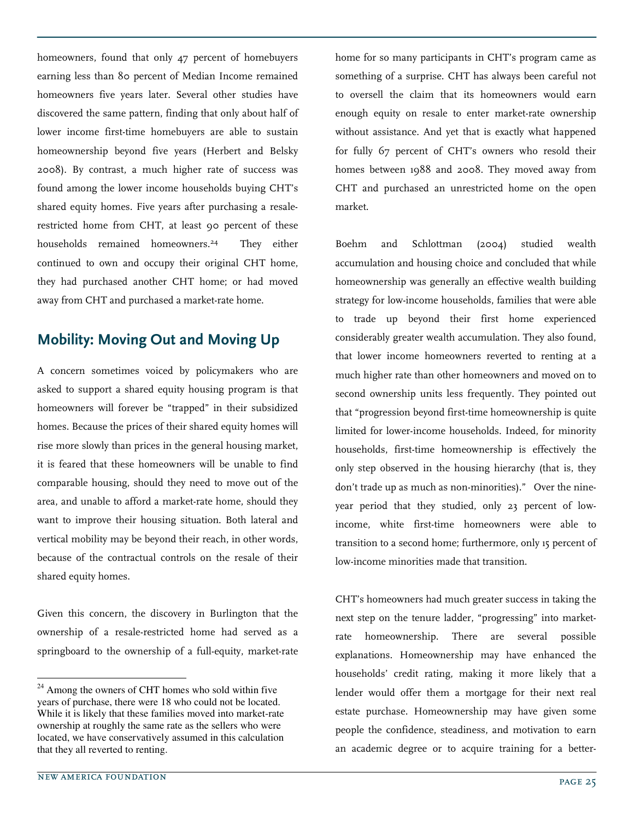homeowners, found that only 47 percent of homebuyers earning less than 80 percent of Median Income remained homeowners five years later. Several other studies have discovered the same pattern, finding that only about half of lower income first-time homebuyers are able to sustain homeownership beyond five years (Herbert and Belsky 2008). By contrast, a much higher rate of success was found among the lower income households buying CHT's shared equity homes. Five years after purchasing a resalerestricted home from CHT, at least 90 percent of these households remained homeowners.<sup>24</sup> They either continued to own and occupy their original CHT home, they had purchased another CHT home; or had moved away from CHT and purchased a market-rate home.

# Mobility: Moving Out and Moving Up

A concern sometimes voiced by policymakers who are asked to support a shared equity housing program is that homeowners will forever be "trapped" in their subsidized homes. Because the prices of their shared equity homes will rise more slowly than prices in the general housing market, it is feared that these homeowners will be unable to find comparable housing, should they need to move out of the area, and unable to afford a market-rate home, should they want to improve their housing situation. Both lateral and vertical mobility may be beyond their reach, in other words, because of the contractual controls on the resale of their shared equity homes.

Given this concern, the discovery in Burlington that the ownership of a resale-restricted home had served as a springboard to the ownership of a full-equity, market-rate

home for so many participants in CHT's program came as something of a surprise. CHT has always been careful not to oversell the claim that its homeowners would earn enough equity on resale to enter market-rate ownership without assistance. And yet that is exactly what happened for fully 67 percent of CHT's owners who resold their homes between 1988 and 2008. They moved away from CHT and purchased an unrestricted home on the open market.

Boehm and Schlottman (2004) studied wealth accumulation and housing choice and concluded that while homeownership was generally an effective wealth building strategy for low-income households, families that were able to trade up beyond their first home experienced considerably greater wealth accumulation. They also found, that lower income homeowners reverted to renting at a much higher rate than other homeowners and moved on to second ownership units less frequently. They pointed out that "progression beyond first-time homeownership is quite limited for lower-income households. Indeed, for minority households, first-time homeownership is effectively the only step observed in the housing hierarchy (that is, they don't trade up as much as non-minorities)." Over the nineyear period that they studied, only 23 percent of lowincome, white first-time homeowners were able to transition to a second home; furthermore, only 15 percent of low-income minorities made that transition.

CHT's homeowners had much greater success in taking the next step on the tenure ladder, "progressing" into marketrate homeownership. There are several possible explanations. Homeownership may have enhanced the households' credit rating, making it more likely that a lender would offer them a mortgage for their next real estate purchase. Homeownership may have given some people the confidence, steadiness, and motivation to earn an academic degree or to acquire training for a better-

-

 $24$  Among the owners of CHT homes who sold within five years of purchase, there were 18 who could not be located. While it is likely that these families moved into market-rate ownership at roughly the same rate as the sellers who were located, we have conservatively assumed in this calculation that they all reverted to renting.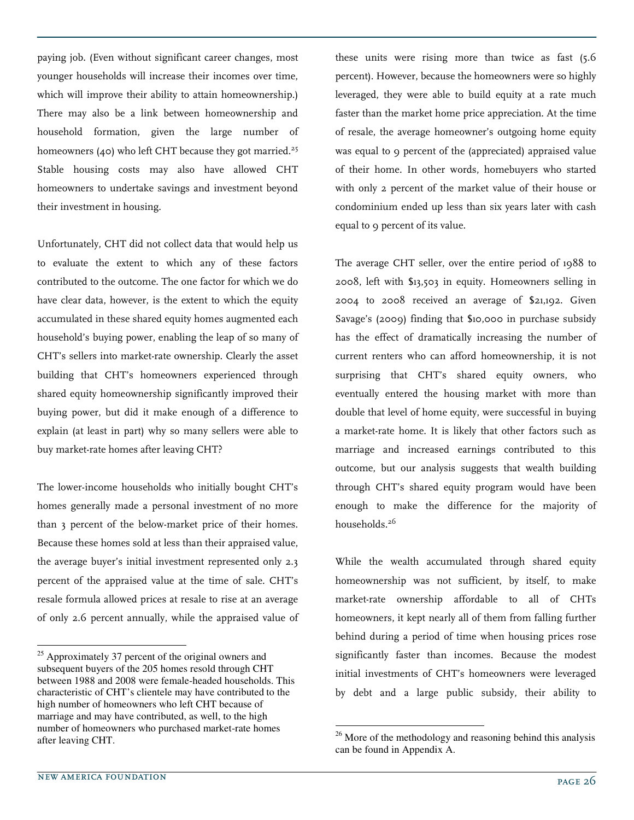paying job. (Even without significant career changes, most younger households will increase their incomes over time, which will improve their ability to attain homeownership.) There may also be a link between homeownership and household formation, given the large number of homeowners (40) who left CHT because they got married.<sup>25</sup> Stable housing costs may also have allowed CHT homeowners to undertake savings and investment beyond their investment in housing.

Unfortunately, CHT did not collect data that would help us to evaluate the extent to which any of these factors contributed to the outcome. The one factor for which we do have clear data, however, is the extent to which the equity accumulated in these shared equity homes augmented each household's buying power, enabling the leap of so many of CHT's sellers into market-rate ownership. Clearly the asset building that CHT's homeowners experienced through shared equity homeownership significantly improved their buying power, but did it make enough of a difference to explain (at least in part) why so many sellers were able to buy market-rate homes after leaving CHT?

The lower-income households who initially bought CHT's homes generally made a personal investment of no more than 3 percent of the below-market price of their homes. Because these homes sold at less than their appraised value, the average buyer's initial investment represented only 2.3 percent of the appraised value at the time of sale. CHT's resale formula allowed prices at resale to rise at an average of only 2.6 percent annually, while the appraised value of

these units were rising more than twice as fast (5.6 percent). However, because the homeowners were so highly leveraged, they were able to build equity at a rate much faster than the market home price appreciation. At the time of resale, the average homeowner's outgoing home equity was equal to 9 percent of the (appreciated) appraised value of their home. In other words, homebuyers who started with only 2 percent of the market value of their house or condominium ended up less than six years later with cash equal to 9 percent of its value.

The average CHT seller, over the entire period of 1988 to 2008, left with \$13,503 in equity. Homeowners selling in 2004 to 2008 received an average of \$21,192. Given Savage's (2009) finding that \$10,000 in purchase subsidy has the effect of dramatically increasing the number of current renters who can afford homeownership, it is not surprising that CHT's shared equity owners, who eventually entered the housing market with more than double that level of home equity, were successful in buying a market-rate home. It is likely that other factors such as marriage and increased earnings contributed to this outcome, but our analysis suggests that wealth building through CHT's shared equity program would have been enough to make the difference for the majority of households.<sup>26</sup>

While the wealth accumulated through shared equity homeownership was not sufficient, by itself, to make market-rate ownership affordable to all of CHTs homeowners, it kept nearly all of them from falling further behind during a period of time when housing prices rose significantly faster than incomes. Because the modest initial investments of CHT's homeowners were leveraged by debt and a large public subsidy, their ability to

-

j

<sup>&</sup>lt;sup>25</sup> Approximately 37 percent of the original owners and subsequent buyers of the 205 homes resold through CHT between 1988 and 2008 were female-headed households. This characteristic of CHT's clientele may have contributed to the high number of homeowners who left CHT because of marriage and may have contributed, as well, to the high number of homeowners who purchased market-rate homes after leaving CHT.

 $26$  More of the methodology and reasoning behind this analysis can be found in Appendix A.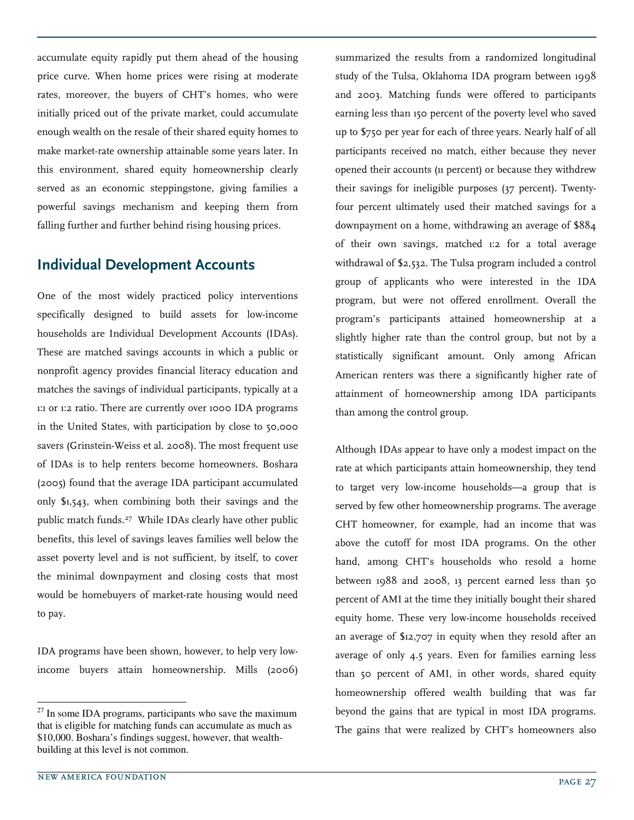accumulate equity rapidly put them ahead of the housing price curve. When home prices were rising at moderate rates, moreover, the buyers of CHT's homes, who were initially priced out of the private market, could accumulate enough wealth on the resale of their shared equity homes to make market-rate ownership attainable some years later. In this environment, shared equity homeownership clearly served as an economic steppingstone, giving families a powerful savings mechanism and keeping them from falling further and further behind rising housing prices.

#### Individual Development Accounts

One of the most widely practiced policy interventions specifically designed to build assets for low-income households are Individual Development Accounts (IDAs). These are matched savings accounts in which a public or nonprofit agency provides financial literacy education and matches the savings of individual participants, typically at a 1:1 or 1:2 ratio. There are currently over 1000 IDA programs in the United States, with participation by close to 50,000 savers (Grinstein-Weiss et al. 2008). The most frequent use of IDAs is to help renters become homeowners. Boshara (2005) found that the average IDA participant accumulated only \$1,543, when combining both their savings and the public match funds.<sup>27</sup> While IDAs clearly have other public benefits, this level of savings leaves families well below the asset poverty level and is not sufficient, by itself, to cover the minimal downpayment and closing costs that most would be homebuyers of market-rate housing would need to pay.

IDA programs have been shown, however, to help very lowincome buyers attain homeownership. Mills (2006)

summarized the results from a randomized longitudinal study of the Tulsa, Oklahoma IDA program between 1998 and 2003. Matching funds were offered to participants earning less than 150 percent of the poverty level who saved up to \$750 per year for each of three years. Nearly half of all participants received no match, either because they never opened their accounts (11 percent) or because they withdrew their savings for ineligible purposes (37 percent). Twentyfour percent ultimately used their matched savings for a downpayment on a home, withdrawing an average of \$884 of their own savings, matched 1:2 for a total average withdrawal of \$2,532. The Tulsa program included a control group of applicants who were interested in the IDA program, but were not offered enrollment. Overall the program's participants attained homeownership at a slightly higher rate than the control group, but not by a statistically significant amount. Only among African American renters was there a significantly higher rate of attainment of homeownership among IDA participants than among the control group.

Although IDAs appear to have only a modest impact on the rate at which participants attain homeownership, they tend to target very low-income households—a group that is served by few other homeownership programs. The average CHT homeowner, for example, had an income that was above the cutoff for most IDA programs. On the other hand, among CHT's households who resold a home between 1988 and 2008, 13 percent earned less than 50 percent of AMI at the time they initially bought their shared equity home. These very low-income households received an average of \$12,707 in equity when they resold after an average of only 4.5 years. Even for families earning less than 50 percent of AMI, in other words, shared equity homeownership offered wealth building that was far beyond the gains that are typical in most IDA programs. The gains that were realized by CHT's homeowners also

-

 $27$  In some IDA programs, participants who save the maximum that is eligible for matching funds can accumulate as much as \$10,000. Boshara's findings suggest, however, that wealthbuilding at this level is not common.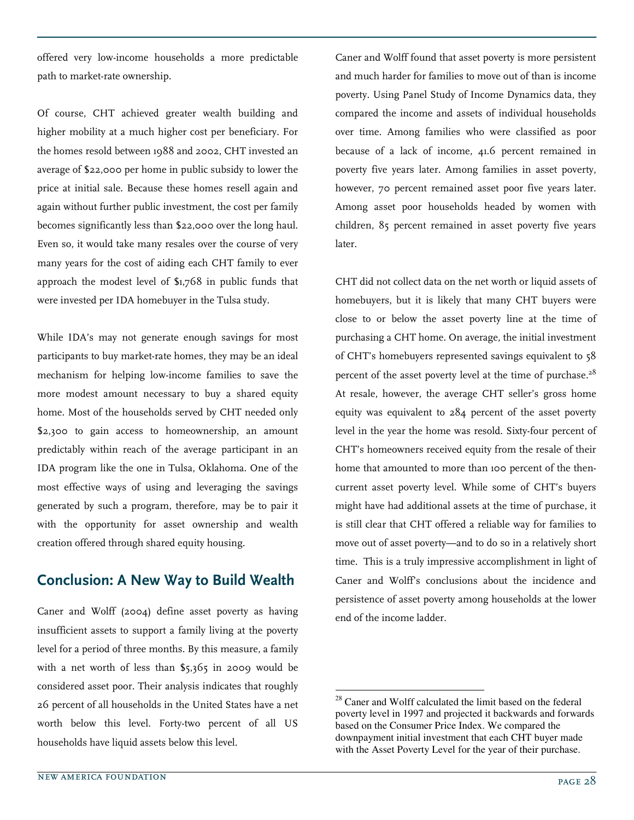offered very low-income households a more predictable path to market-rate ownership.

Of course, CHT achieved greater wealth building and higher mobility at a much higher cost per beneficiary. For the homes resold between 1988 and 2002, CHT invested an average of \$22,000 per home in public subsidy to lower the price at initial sale. Because these homes resell again and again without further public investment, the cost per family becomes significantly less than \$22,000 over the long haul. Even so, it would take many resales over the course of very many years for the cost of aiding each CHT family to ever approach the modest level of \$1,768 in public funds that were invested per IDA homebuyer in the Tulsa study.

While IDA's may not generate enough savings for most participants to buy market-rate homes, they may be an ideal mechanism for helping low-income families to save the more modest amount necessary to buy a shared equity home. Most of the households served by CHT needed only \$2,300 to gain access to homeownership, an amount predictably within reach of the average participant in an IDA program like the one in Tulsa, Oklahoma. One of the most effective ways of using and leveraging the savings generated by such a program, therefore, may be to pair it with the opportunity for asset ownership and wealth creation offered through shared equity housing.

#### Conclusion: A New Way to Build Wealth

Caner and Wolff (2004) define asset poverty as having insufficient assets to support a family living at the poverty level for a period of three months. By this measure, a family with a net worth of less than \$5,365 in 2009 would be considered asset poor. Their analysis indicates that roughly 26 percent of all households in the United States have a net worth below this level. Forty-two percent of all US households have liquid assets below this level.

Caner and Wolff found that asset poverty is more persistent and much harder for families to move out of than is income poverty. Using Panel Study of Income Dynamics data, they compared the income and assets of individual households over time. Among families who were classified as poor because of a lack of income, 41.6 percent remained in poverty five years later. Among families in asset poverty, however, 70 percent remained asset poor five years later. Among asset poor households headed by women with children, 85 percent remained in asset poverty five years later.

CHT did not collect data on the net worth or liquid assets of homebuyers, but it is likely that many CHT buyers were close to or below the asset poverty line at the time of purchasing a CHT home. On average, the initial investment of CHT's homebuyers represented savings equivalent to 58 percent of the asset poverty level at the time of purchase.<sup>28</sup> At resale, however, the average CHT seller's gross home equity was equivalent to 284 percent of the asset poverty level in the year the home was resold. Sixty-four percent of CHT's homeowners received equity from the resale of their home that amounted to more than 100 percent of the thencurrent asset poverty level. While some of CHT's buyers might have had additional assets at the time of purchase, it is still clear that CHT offered a reliable way for families to move out of asset poverty—and to do so in a relatively short time. This is a truly impressive accomplishment in light of Caner and Wolff's conclusions about the incidence and persistence of asset poverty among households at the lower end of the income ladder.

-

<sup>&</sup>lt;sup>28</sup> Caner and Wolff calculated the limit based on the federal poverty level in 1997 and projected it backwards and forwards based on the Consumer Price Index. We compared the downpayment initial investment that each CHT buyer made with the Asset Poverty Level for the year of their purchase.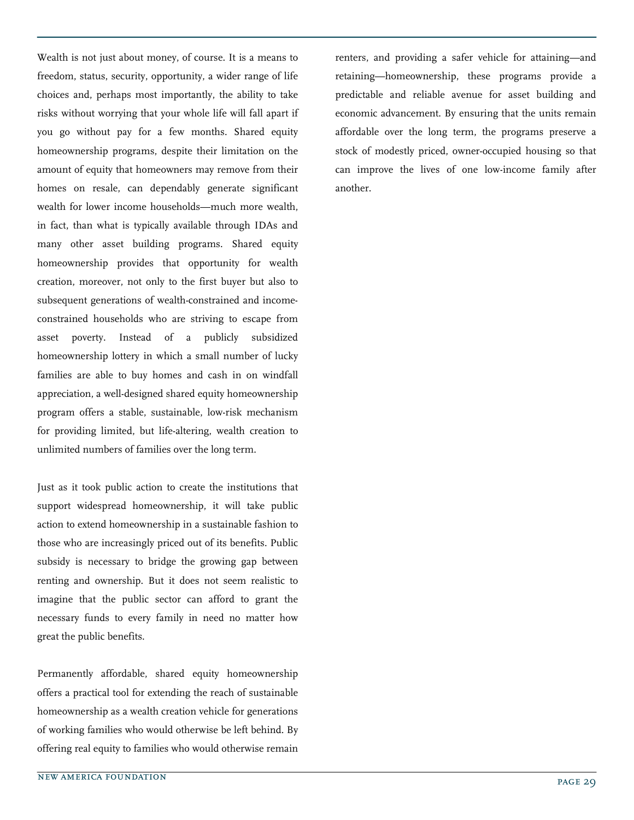Wealth is not just about money, of course. It is a means to freedom, status, security, opportunity, a wider range of life choices and, perhaps most importantly, the ability to take risks without worrying that your whole life will fall apart if you go without pay for a few months. Shared equity homeownership programs, despite their limitation on the amount of equity that homeowners may remove from their homes on resale, can dependably generate significant wealth for lower income households—much more wealth, in fact, than what is typically available through IDAs and many other asset building programs. Shared equity homeownership provides that opportunity for wealth creation, moreover, not only to the first buyer but also to subsequent generations of wealth-constrained and incomeconstrained households who are striving to escape from asset poverty. Instead of a publicly subsidized homeownership lottery in which a small number of lucky families are able to buy homes and cash in on windfall appreciation, a well-designed shared equity homeownership program offers a stable, sustainable, low-risk mechanism for providing limited, but life-altering, wealth creation to unlimited numbers of families over the long term.

Just as it took public action to create the institutions that support widespread homeownership, it will take public action to extend homeownership in a sustainable fashion to those who are increasingly priced out of its benefits. Public subsidy is necessary to bridge the growing gap between renting and ownership. But it does not seem realistic to imagine that the public sector can afford to grant the necessary funds to every family in need no matter how great the public benefits.

Permanently affordable, shared equity homeownership offers a practical tool for extending the reach of sustainable homeownership as a wealth creation vehicle for generations of working families who would otherwise be left behind. By offering real equity to families who would otherwise remain renters, and providing a safer vehicle for attaining—and retaining—homeownership, these programs provide a predictable and reliable avenue for asset building and economic advancement. By ensuring that the units remain affordable over the long term, the programs preserve a stock of modestly priced, owner-occupied housing so that can improve the lives of one low-income family after another.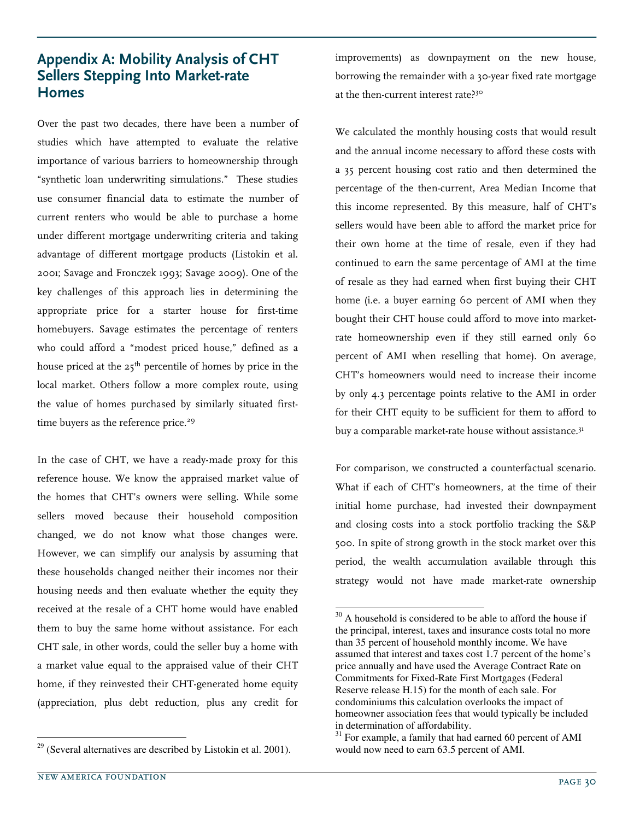## Appendix A: Mobility Analysis of CHT Sellers Stepping Into Market-rate Homes

Over the past two decades, there have been a number of studies which have attempted to evaluate the relative importance of various barriers to homeownership through "synthetic loan underwriting simulations." These studies use consumer financial data to estimate the number of current renters who would be able to purchase a home under different mortgage underwriting criteria and taking advantage of different mortgage products (Listokin et al. 2001; Savage and Fronczek 1993; Savage 2009). One of the key challenges of this approach lies in determining the appropriate price for a starter house for first-time homebuyers. Savage estimates the percentage of renters who could afford a "modest priced house," defined as a house priced at the  $25<sup>th</sup>$  percentile of homes by price in the local market. Others follow a more complex route, using the value of homes purchased by similarly situated firsttime buyers as the reference price.<sup>29</sup>

In the case of CHT, we have a ready-made proxy for this reference house. We know the appraised market value of the homes that CHT's owners were selling. While some sellers moved because their household composition changed, we do not know what those changes were. However, we can simplify our analysis by assuming that these households changed neither their incomes nor their housing needs and then evaluate whether the equity they received at the resale of a CHT home would have enabled them to buy the same home without assistance. For each CHT sale, in other words, could the seller buy a home with a market value equal to the appraised value of their CHT home, if they reinvested their CHT-generated home equity (appreciation, plus debt reduction, plus any credit for

improvements) as downpayment on the new house, borrowing the remainder with a 30-year fixed rate mortgage at the then-current interest rate?<sup>30</sup>

We calculated the monthly housing costs that would result and the annual income necessary to afford these costs with a 35 percent housing cost ratio and then determined the percentage of the then-current, Area Median Income that this income represented. By this measure, half of CHT's sellers would have been able to afford the market price for their own home at the time of resale, even if they had continued to earn the same percentage of AMI at the time of resale as they had earned when first buying their CHT home (i.e. a buyer earning 60 percent of AMI when they bought their CHT house could afford to move into marketrate homeownership even if they still earned only 60 percent of AMI when reselling that home). On average, CHT's homeowners would need to increase their income by only 4.3 percentage points relative to the AMI in order for their CHT equity to be sufficient for them to afford to buy a comparable market-rate house without assistance.<sup>31</sup>

For comparison, we constructed a counterfactual scenario. What if each of CHT's homeowners, at the time of their initial home purchase, had invested their downpayment and closing costs into a stock portfolio tracking the S&P 500. In spite of strong growth in the stock market over this period, the wealth accumulation available through this strategy would not have made market-rate ownership

 $\overline{a}$ 

 $29$  (Several alternatives are described by Listokin et al. 2001).

 $30$  A household is considered to be able to afford the house if the principal, interest, taxes and insurance costs total no more than 35 percent of household monthly income. We have assumed that interest and taxes cost 1.7 percent of the home's price annually and have used the Average Contract Rate on Commitments for Fixed-Rate First Mortgages (Federal Reserve release H.15) for the month of each sale. For condominiums this calculation overlooks the impact of homeowner association fees that would typically be included in determination of affordability.

 $31$  For example, a family that had earned 60 percent of AMI would now need to earn 63.5 percent of AMI.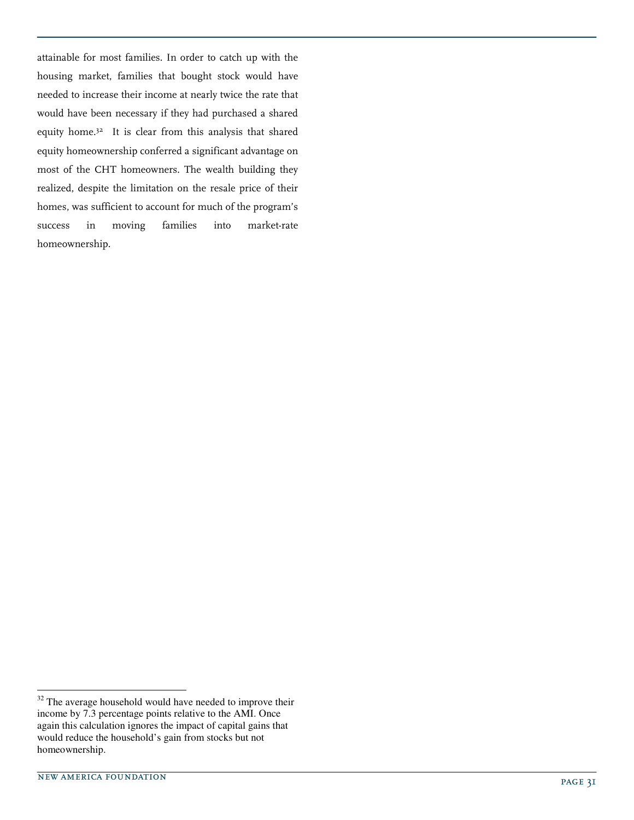attainable for most families. In order to catch up with the housing market, families that bought stock would have needed to increase their income at nearly twice the rate that would have been necessary if they had purchased a shared equity home.<sup>32</sup> It is clear from this analysis that shared equity homeownership conferred a significant advantage on most of the CHT homeowners. The wealth building they realized, despite the limitation on the resale price of their homes, was sufficient to account for much of the program's success in moving families into market-rate homeownership.

j  $32$  The average household would have needed to improve their income by 7.3 percentage points relative to the AMI. Once again this calculation ignores the impact of capital gains that would reduce the household's gain from stocks but not homeownership.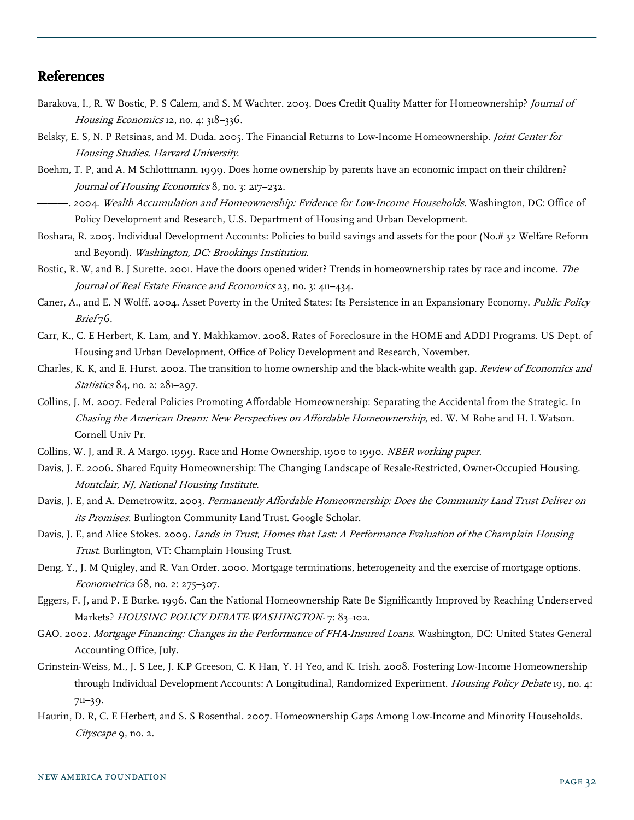# **References**

- Barakova, I., R. W Bostic, P. S Calem, and S. M Wachter. 2003. Does Credit Quality Matter for Homeownership? Journal of Housing Economics 12, no. 4: 318–336.
- Belsky, E. S, N. P Retsinas, and M. Duda. 2005. The Financial Returns to Low-Income Homeownership. Joint Center for Housing Studies, Harvard University.
- Boehm, T. P, and A. M Schlottmann. 1999. Does home ownership by parents have an economic impact on their children? Journal of Housing Economics 8, no. 3: 217–232.
- -. 2004. Wealth Accumulation and Homeownership: Evidence for Low-Income Households. Washington, DC: Office of Policy Development and Research, U.S. Department of Housing and Urban Development.
- Boshara, R. 2005. Individual Development Accounts: Policies to build savings and assets for the poor (No.# 32 Welfare Reform and Beyond). Washington, DC: Brookings Institution.
- Bostic, R. W, and B. J Surette. 2001. Have the doors opened wider? Trends in homeownership rates by race and income. The Journal of Real Estate Finance and Economics 23, no. 3: 411–434.
- Caner, A., and E. N Wolff. 2004. Asset Poverty in the United States: Its Persistence in an Expansionary Economy. Public Policy Brief 76.
- Carr, K., C. E Herbert, K. Lam, and Y. Makhkamov. 2008. Rates of Foreclosure in the HOME and ADDI Programs. US Dept. of Housing and Urban Development, Office of Policy Development and Research, November.
- Charles, K. K, and E. Hurst. 2002. The transition to home ownership and the black-white wealth gap. Review of Economics and Statistics 84, no. 2: 281-297.
- Collins, J. M. 2007. Federal Policies Promoting Affordable Homeownership: Separating the Accidental from the Strategic. In Chasing the American Dream: New Perspectives on Affordable Homeownership, ed. W. M Rohe and H. L Watson. Cornell Univ Pr.
- Collins, W. J, and R. A Margo. 1999. Race and Home Ownership, 1900 to 1990. NBER working paper.
- Davis, J. E. 2006. Shared Equity Homeownership: The Changing Landscape of Resale-Restricted, Owner-Occupied Housing. Montclair, NJ, National Housing Institute.
- Davis, J. E, and A. Demetrowitz. 2003. Permanently Affordable Homeownership: Does the Community Land Trust Deliver on its Promises. Burlington Community Land Trust. Google Scholar.
- Davis, J. E, and Alice Stokes. 2009. Lands in Trust, Homes that Last: A Performance Evaluation of the Champlain Housing Trust. Burlington, VT: Champlain Housing Trust.
- Deng, Y., J. M Quigley, and R. Van Order. 2000. Mortgage terminations, heterogeneity and the exercise of mortgage options. Econometrica 68, no. 2: 275–307.
- Eggers, F. J, and P. E Burke. 1996. Can the National Homeownership Rate Be Significantly Improved by Reaching Underserved Markets? HOUSING POLICY DEBATE-WASHINGTON-7: 83-102.
- GAO. 2002. Mortgage Financing: Changes in the Performance of FHA-Insured Loans. Washington, DC: United States General Accounting Office, July.
- Grinstein-Weiss, M., J. S Lee, J. K.P Greeson, C. K Han, Y. H Yeo, and K. Irish. 2008. Fostering Low-Income Homeownership through Individual Development Accounts: A Longitudinal, Randomized Experiment. Housing Policy Debate 19, no. 4: 711–39.
- Haurin, D. R, C. E Herbert, and S. S Rosenthal. 2007. Homeownership Gaps Among Low-Income and Minority Households. Cityscape 9, no. 2.